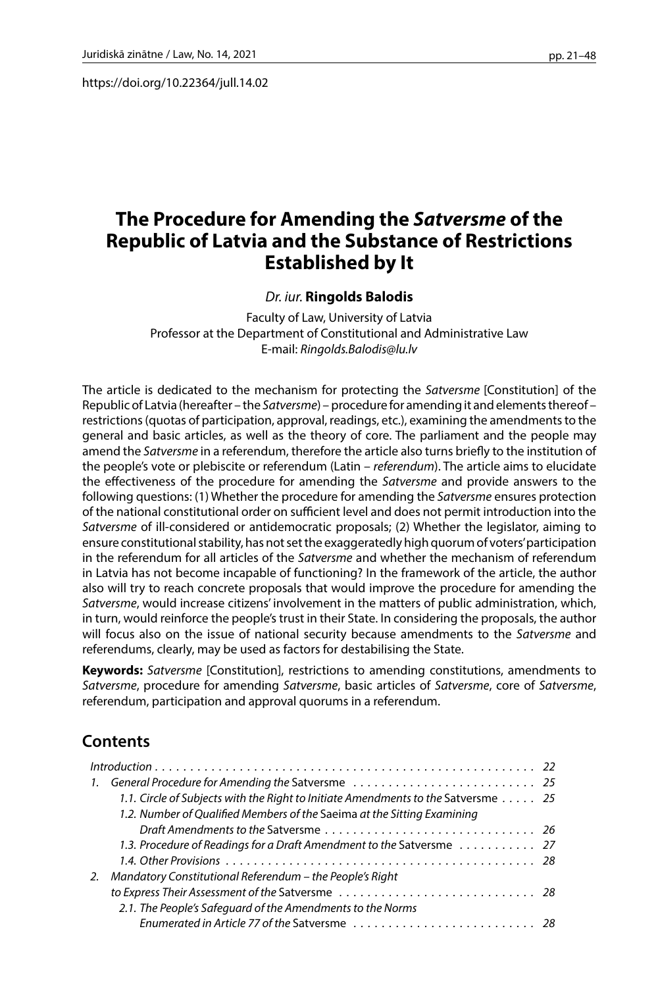https://doi.org/10.22364/jull.14.02

# **The Procedure for Amending the** *Satversme* **of the Republic of Latvia and the Substance of Restrictions Established by It**

### *Dr. iur.* **Ringolds Balodis**

Faculty of Law, University of Latvia Professor at the Department of Constitutional and Administrative Law E-mail: *Ringolds.Balodis@lu.lv*

The article is dedicated to the mechanism for protecting the *Satversme* [Constitution] of the Republic of Latvia (hereafter – the *Satversme*) – procedure for amending it and elements thereof – restrictions (quotas of participation, approval, readings, etc.), examining the amendments to the general and basic articles, as well as the theory of core. The parliament and the people may amend the *Satversme* in a referendum, therefore the article also turns briefly to the institution of the people's vote or plebiscite or referendum (Latin – *referendum*). The article aims to elucidate the effectiveness of the procedure for amending the *Satversme* and provide answers to the following questions: (1) Whether the procedure for amending the *Satversme* ensures protection of the national constitutional order on sufficient level and does not permit introduction into the *Satversme* of ill-considered or antidemocratic proposals; (2) Whether the legislator, aiming to ensure constitutional stability, has not set the exaggeratedly high quorum of voters' participation in the referendum for all articles of the *Satversme* and whether the mechanism of referendum in Latvia has not become incapable of functioning? In the framework of the article, the author also will try to reach concrete proposals that would improve the procedure for amending the *Satversme*, would increase citizens' involvement in the matters of public administration, which, in turn, would reinforce the people's trust in their State. In considering the proposals, the author will focus also on the issue of national security because amendments to the *Satversme* and referendums, clearly, may be used as factors for destabilising the State.

**Keywords:** *Satversme* [Constitution], restrictions to amending constitutions, amendments to *Satversme*, procedure for amending *Satversme*, basic articles of *Satversme*, core of *Satversme*, referendum, participation and approval quorums in a referendum.

# **Contents**

|    | 1.1. Circle of Subjects with the Right to Initiate Amendments to the Satversme 25 |  |
|----|-----------------------------------------------------------------------------------|--|
|    | 1.2. Number of Qualified Members of the Saeima at the Sitting Examining           |  |
|    |                                                                                   |  |
|    | 1.3. Procedure of Readings for a Draft Amendment to the Satversme  27             |  |
|    |                                                                                   |  |
| 2. | Mandatory Constitutional Referendum – the People's Right                          |  |
|    |                                                                                   |  |
|    | 2.1. The People's Safeguard of the Amendments to the Norms                        |  |
|    |                                                                                   |  |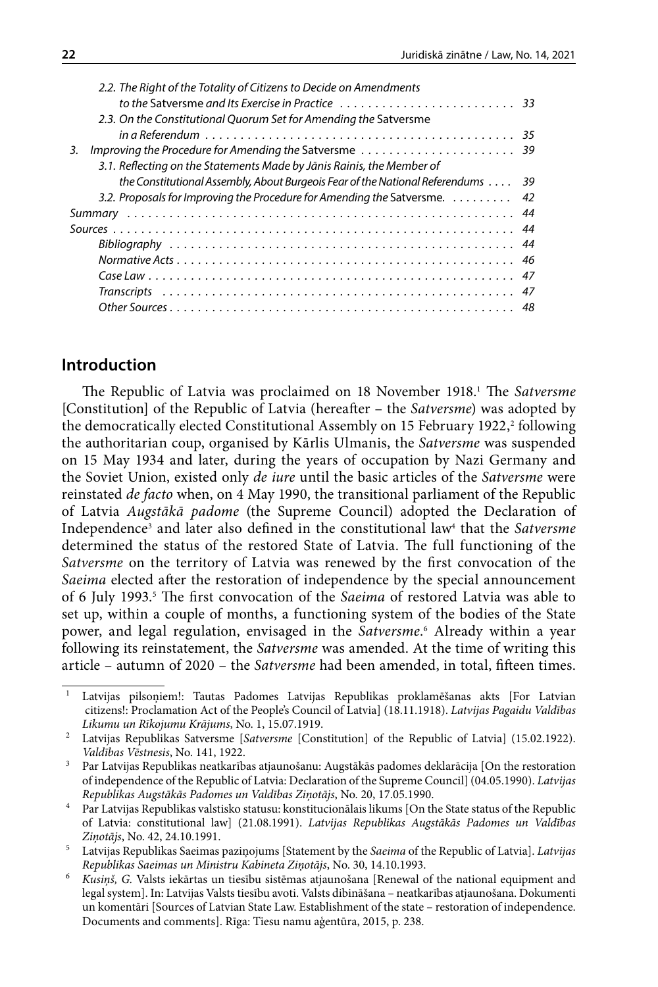| the Constitutional Assembly, About Burgeois Fear of the National Referendums $\dots$ 39 |
|-----------------------------------------------------------------------------------------|
| 3.2. Proposals for Improving the Procedure for Amending the Satversme. $\dots \dots$    |
|                                                                                         |
|                                                                                         |
|                                                                                         |
|                                                                                         |
|                                                                                         |
|                                                                                         |
|                                                                                         |
|                                                                                         |

# **Introduction**

The Republic of Latvia was proclaimed on 18 November 1918.1 The *Satversme*  [Constitution] of the Republic of Latvia (hereafter – the *Satversme*) was adopted by the democratically elected Constitutional Assembly on 15 February 1922,<sup>2</sup> following the authoritarian coup, organised by Kārlis Ulmanis, the *Satversme* was suspended on 15 May 1934 and later, during the years of occupation by Nazi Germany and the Soviet Union, existed only *de iure* until the basic articles of the *Satversme* were reinstated *de facto* when, on 4 May 1990, the transitional parliament of the Republic of Latvia *Augstākā padome* (the Supreme Council) adopted the Declaration of Independence<sup>3</sup> and later also defined in the constitutional law<del>'</del> that the S*atversme* determined the status of the restored State of Latvia. The full functioning of the *Satversme* on the territory of Latvia was renewed by the first convocation of the *Saeima* elected after the restoration of independence by the special announcement of 6 July 1993.<sup>5</sup> The first convocation of the Saeima of restored Latvia was able to set up, within a couple of months, a functioning system of the bodies of the State power, and legal regulation, envisaged in the *Satversme*. 6 Already within a year following its reinstatement, the *Satversme* was amended. At the time of writing this article – autumn of 2020 – the *Satversme* had been amended, in total, fifteen times.

<sup>&</sup>lt;sup>1</sup> Latvijas pilsoņiem!: Tautas Padomes Latvijas Republikas proklamēšanas akts [For Latvian citizens!: Proclamation Act of the People's Council of Latvia] (18.11.1918). *Latvijas Pagaidu Valdības* 

*Likumu un Rīkojumu Krājums*, No. 1, 15.07.1919. 2 Latvijas Republikas Satversme [*Satversme* [Constitution] of the Republic of Latvia] (15.02.1922). *Valdības Vēstnesis*, No. 141, 1922.

<sup>&</sup>lt;sup>3</sup> Par Latvijas Republikas neatkarības atjaunošanu: Augstākās padomes deklarācija [On the restoration of independence of the Republic of Latvia: Declaration of the Supreme Council] (04.05.1990). *Latvijas Republikas Augstākās Padomes un Valdības Ziņotājs*, No. 20, 17.05.1990.

<sup>4</sup> Par Latvijas Republikas valstisko statusu: konstitucionālais likums [On the State status of the Republic of Latvia: constitutional law] (21.08.1991). *Latvijas Republikas Augstākās Padomes un Valdības Ziņotājs*, No. 42, 24.10.1991.

<sup>5</sup> Latvijas Republikas Saeimas paziņojums [Statement by the *Saeima* of the Republic of Latvia]. *Latvijas Republikas Saeimas un Ministru Kabineta Ziņotājs*, No. 30, 14.10.1993.

<sup>6</sup> *Kusiņš, G.* Valsts iekārtas un tiesību sistēmas atjaunošana [Renewal of the national equipment and legal system]. In: Latvijas Valsts tiesību avoti. Valsts dibināšana – neatkarības atjaunošana. Dokumenti un komentāri [Sources of Latvian State Law. Establishment of the state – restoration of independence. Documents and comments]. Rīga: Tiesu namu aģentūra, 2015, p. 238.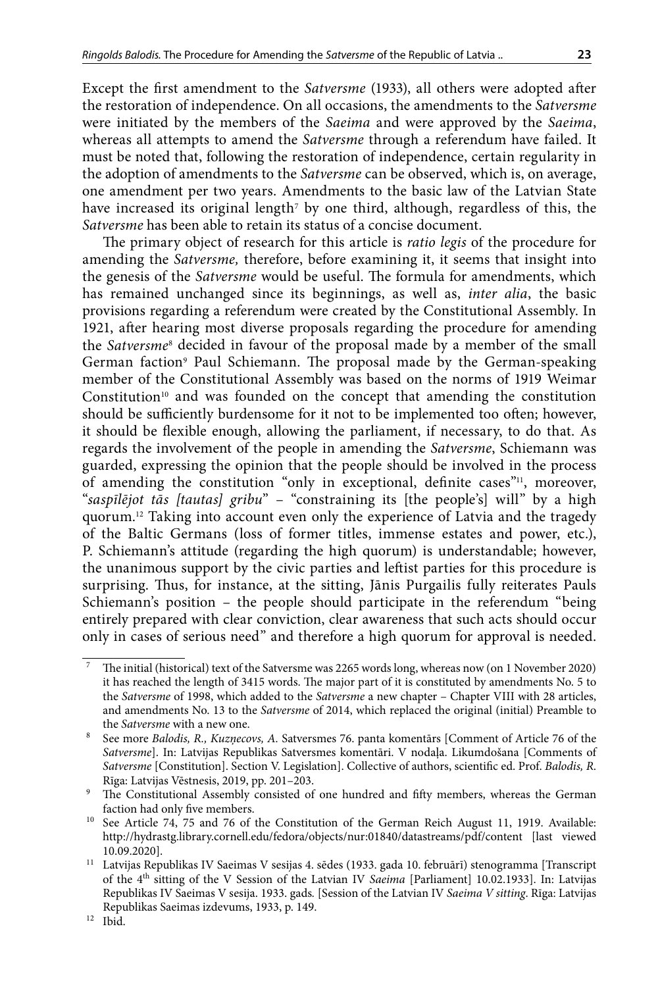Except the first amendment to the *Satversme* (1933), all others were adopted after the restoration of independence. On all occasions, the amendments to the *Satversme* were initiated by the members of the *Saeima* and were approved by the *Saeima*, whereas all attempts to amend the *Satversme* through a referendum have failed. It must be noted that, following the restoration of independence, certain regularity in the adoption of amendments to the *Satversme* can be observed, which is, on average, one amendment per two years. Amendments to the basic law of the Latvian State have increased its original length $^{\rm 7}$  by one third, although, regardless of this, the *Satversme* has been able to retain its status of a concise document.

The primary object of research for this article is *ratio legis* of the procedure for amending the *Satversme,* therefore, before examining it, it seems that insight into the genesis of the *Satversme* would be useful. The formula for amendments, which has remained unchanged since its beginnings, as well as, *inter alia*, the basic provisions regarding a referendum were created by the Constitutional Assembly. In 1921, after hearing most diverse proposals regarding the procedure for amending the *Satversme*<sup>8</sup> decided in favour of the proposal made by a member of the small German faction<sup>,</sup> Paul Schiemann. The proposal made by the German-speaking member of the Constitutional Assembly was based on the norms of 1919 Weimar Constitution<sup>10</sup> and was founded on the concept that amending the constitution should be sufficiently burdensome for it not to be implemented too often; however, it should be flexible enough, allowing the parliament, if necessary, to do that. As regards the involvement of the people in amending the *Satversme*, Schiemann was guarded, expressing the opinion that the people should be involved in the process of amending the constitution "only in exceptional, definite cases"<sup>11</sup>, moreover, "*saspīlējot tās [tautas] gribu*" – "constraining its [the people's] will" by a high quorum.12 Taking into account even only the experience of Latvia and the tragedy of the Baltic Germans (loss of former titles, immense estates and power, etc.), P. Schiemann's attitude (regarding the high quorum) is understandable; however, the unanimous support by the civic parties and leftist parties for this procedure is surprising. Thus, for instance, at the sitting, Jānis Purgailis fully reiterates Pauls Schiemann's position – the people should participate in the referendum "being entirely prepared with clear conviction, clear awareness that such acts should occur only in cases of serious need" and therefore a high quorum for approval is needed.

<sup>7</sup> The initial (historical) text of the Satversme was 2265 words long, whereas now (on 1 November 2020) it has reached the length of 3415 words. The major part of it is constituted by amendments No. 5 to the *Satversme* of 1998, which added to the *Satversme* a new chapter – Chapter VIII with 28 articles, and amendments No. 13 to the *Satversme* of 2014, which replaced the original (initial) Preamble to the *Satversme* with a new one.

<sup>8</sup> See more *Balodis, R., Kuzņecovs, A.* Satversmes 76. panta komentārs [Comment of Article 76 of the *Satversme*]. In: Latvijas Republikas Satversmes komentāri. V nodaļa. Likumdošana [Comments of *Satversme* [Constitution]. Section V. Legislation]. Collective of authors, scientific ed. Prof. *Balodis, R*. Rīga: Latvijas Vēstnesis, 2019, pp. 201–203.

<sup>&</sup>lt;sup>9</sup> The Constitutional Assembly consisted of one hundred and fifty members, whereas the German faction had only five members.

<sup>&</sup>lt;sup>10</sup> See Article 74, 75 and 76 of the Constitution of the German Reich August 11, 1919. Available: <http://hydrastg.library.cornell.edu/fedora/objects/nur:01840/datastreams/pdf/content> [last viewed 10.09.2020].

<sup>11</sup> Latvijas Republikas IV Saeimas V sesijas 4. sēdes (1933. gada 10. februārī) stenogramma [Transcript of the 4th sitting of the V Session of the Latvian IV *Saeima* [Parliament] 10.02.1933]. In: Latvijas Republikas IV Saeimas V sesija. 1933. gads*.* [Session of the Latvian IV *Saeima V sitting*. Rīga: Latvijas Republikas Saeimas izdevums, 1933, p. 149.

<sup>12</sup> Ibid.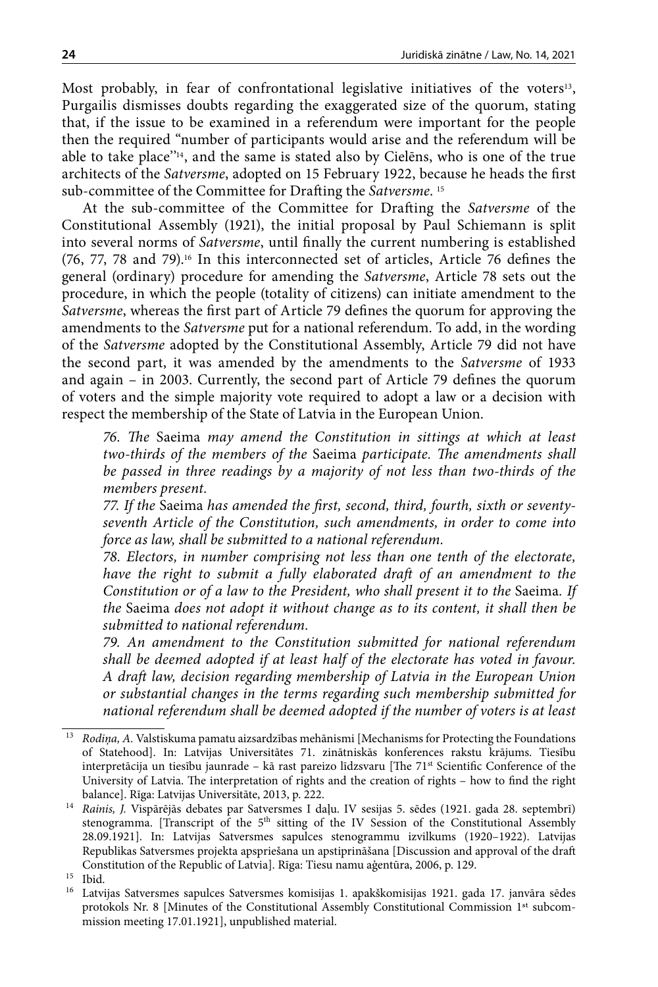Most probably, in fear of confrontational legislative initiatives of the voters<sup>13</sup>, Purgailis dismisses doubts regarding the exaggerated size of the quorum, stating that, if the issue to be examined in a referendum were important for the people then the required "number of participants would arise and the referendum will be able to take place''14, and the same is stated also by Cielēns, who is one of the true architects of the *Satversme*, adopted on 15 February 1922, because he heads the first sub-committee of the Committee for Drafting the *Satversme*. 15

At the sub-committee of the Committee for Drafting the *Satversme* of the Constitutional Assembly (1921), the initial proposal by Paul Schiemann is split into several norms of *Satversme*, until finally the current numbering is established (76, 77, 78 and 79).16 In this interconnected set of articles, Article 76 defines the general (ordinary) procedure for amending the *Satversme*, Article 78 sets out the procedure, in which the people (totality of citizens) can initiate amendment to the *Satversme*, whereas the first part of Article 79 defines the quorum for approving the amendments to the *Satversme* put for a national referendum. To add, in the wording of the *Satversme* adopted by the Constitutional Assembly, Article 79 did not have the second part, it was amended by the amendments to the *Satversme* of 1933 and again – in 2003. Currently, the second part of Article 79 defines the quorum of voters and the simple majority vote required to adopt a law or a decision with respect the membership of the State of Latvia in the European Union.

*76. The* Saeima *may amend the Constitution in sittings at which at least two-thirds of the members of the* Saeima *participate. The amendments shall be passed in three readings by a majority of not less than two-thirds of the members present.*

*77. If the* Saeima *has amended the first, second, third, fourth, sixth or seventyseventh Article of the Constitution, such amendments, in order to come into force as law, shall be submitted to a national referendum.*

*78. Electors, in number comprising not less than one tenth of the electorate, have the right to submit a fully elaborated draft of an amendment to the Constitution or of a law to the President, who shall present it to the* Saeima*. If the* Saeima *does not adopt it without change as to its content, it shall then be submitted to national referendum.*

*79. An amendment to the Constitution submitted for national referendum shall be deemed adopted if at least half of the electorate has voted in favour. A draft law, decision regarding membership of Latvia in the European Union or substantial changes in the terms regarding such membership submitted for national referendum shall be deemed adopted if the number of voters is at least* 

<sup>&</sup>lt;sup>13</sup> *Rodiņa, A. Valstiskuma pamatu aizsardzības mehānismi* [Mechanisms for Protecting the Foundations of Statehood]. In: Latvijas Universitātes 71. zinātniskās konferences rakstu krājums. Tiesību interpretācija un tiesību jaunrade – kā rast pareizo līdzsvaru [The 71<sup>st</sup> Scientific Conference of the University of Latvia. The interpretation of rights and the creation of rights – how to find the right balance]. Rīga: Latvijas Universitāte, 2013, p. 222.

<sup>14</sup> *Rainis, J.* Vispārējās debates par Satversmes I daļu. IV sesijas 5. sēdes (1921. gada 28. septembrī) stenogramma. [Transcript of the 5<sup>th</sup> sitting of the IV Session of the Constitutional Assembly 28.09.1921]. In: Latvijas Satversmes sapulces stenogrammu izvilkums (1920–1922). Latvijas Republikas Satversmes projekta apspriešana un apstiprināšana [Discussion and approval of the draft Constitution of the Republic of Latvia]. Rīga: Tiesu namu aģentūra, 2006, p. 129.

 $15$  Ibid.<br> $16$  Latvi

Latvijas Satversmes sapulces Satversmes komisijas 1. apakškomisijas 1921. gada 17. janvāra sēdes protokols Nr. 8 [Minutes of the Constitutional Assembly Constitutional Commission 1st subcommission meeting 17.01.1921], unpublished material.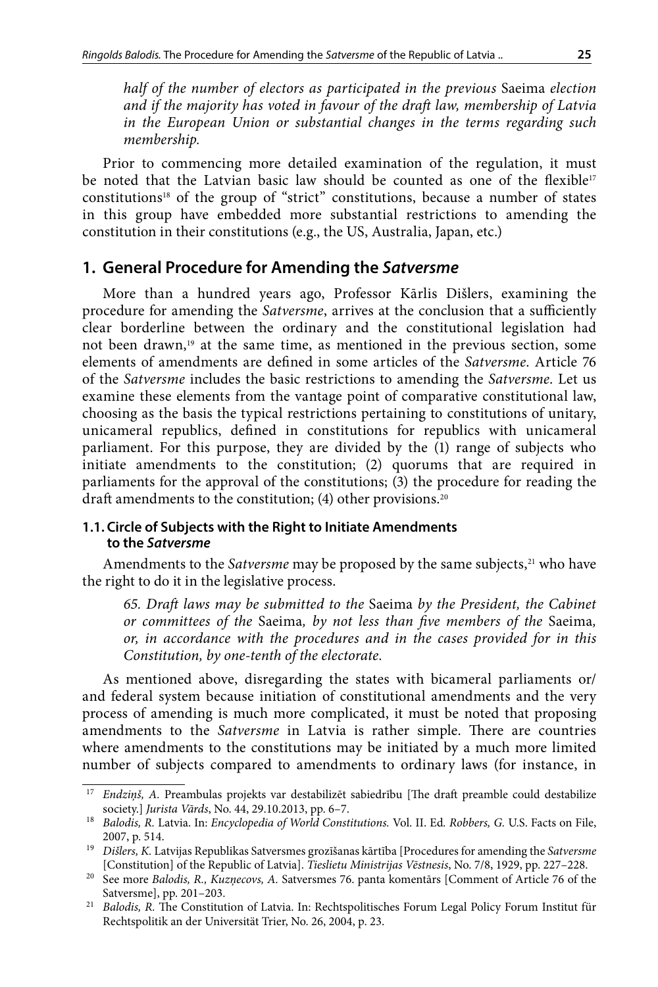*half of the number of electors as participated in the previous* Saeima *election and if the majority has voted in favour of the draft law, membership of Latvia in the European Union or substantial changes in the terms regarding such membership.*

Prior to commencing more detailed examination of the regulation, it must be noted that the Latvian basic law should be counted as one of the flexible<sup>17</sup> constitutions18 of the group of "strict" constitutions, because a number of states in this group have embedded more substantial restrictions to amending the constitution in their constitutions (e.g., the US, Australia, Japan, etc.)

## **1. General Procedure for Amending the** *Satversme*

More than a hundred years ago, Professor Kārlis Dišlers, examining the procedure for amending the *Satversme*, arrives at the conclusion that a sufficiently clear borderline between the ordinary and the constitutional legislation had not been drawn,<sup>19</sup> at the same time, as mentioned in the previous section, some elements of amendments are defined in some articles of the *Satversme*. Article 76 of the *Satversme* includes the basic restrictions to amending the *Satversme*. Let us examine these elements from the vantage point of comparative constitutional law, choosing as the basis the typical restrictions pertaining to constitutions of unitary, unicameral republics, defined in constitutions for republics with unicameral parliament. For this purpose, they are divided by the (1) range of subjects who initiate amendments to the constitution; (2) quorums that are required in parliaments for the approval of the constitutions; (3) the procedure for reading the draft amendments to the constitution; (4) other provisions.<sup>20</sup>

### **1.1. Circle of Subjects with the Right to Initiate Amendments to the** *Satversme*

Amendments to the *Satversme* may be proposed by the same subjects,<sup>21</sup> who have the right to do it in the legislative process.

*65. Draft laws may be submitted to the* Saeima *by the President, the Cabinet or committees of the* Saeima*, by not less than five members of the* Saeima*, or, in accordance with the procedures and in the cases provided for in this Constitution, by one-tenth of the electorate.*

As mentioned above, disregarding the states with bicameral parliaments or/ and federal system because initiation of constitutional amendments and the very process of amending is much more complicated, it must be noted that proposing amendments to the *Satversme* in Latvia is rather simple. There are countries where amendments to the constitutions may be initiated by a much more limited number of subjects compared to amendments to ordinary laws (for instance, in

<sup>17</sup> *Endziņš, A.* Preambulas projekts var destabilizēt sabiedrību [The draft preamble could destabilize society.] *Jurista Vārds*, No. 44, 29.10.2013, pp. 6–7.

<sup>18</sup> *Balodis, R.* Latvia. In: *Encyclopedia of World Constitutions.* Vol. II. Ed*. Robbers, G.* U.S. Facts on File, 2007, p. 514.

<sup>19</sup> *Dišlers, K.* Latvijas Republikas Satversmes grozīšanas kārtība [Procedures for amending the *Satversme* [Constitution] of the Republic of Latvia]. *Tieslietu Ministrijas Vēstnesis*, No. 7/8, 1929, pp. 227–228.

<sup>20</sup> See more *Balodis, R., Kuzņecovs, A.* Satversmes 76. panta komentārs [Comment of Article 76 of the Satversme], pp. 201–203.

<sup>21</sup> *Balodis, R.* The Constitution of Latvia. In: Rechtspolitisches Forum Legal Policy Forum Institut für Rechtspolitik an der Universität Trier, No. 26, 2004, p. 23.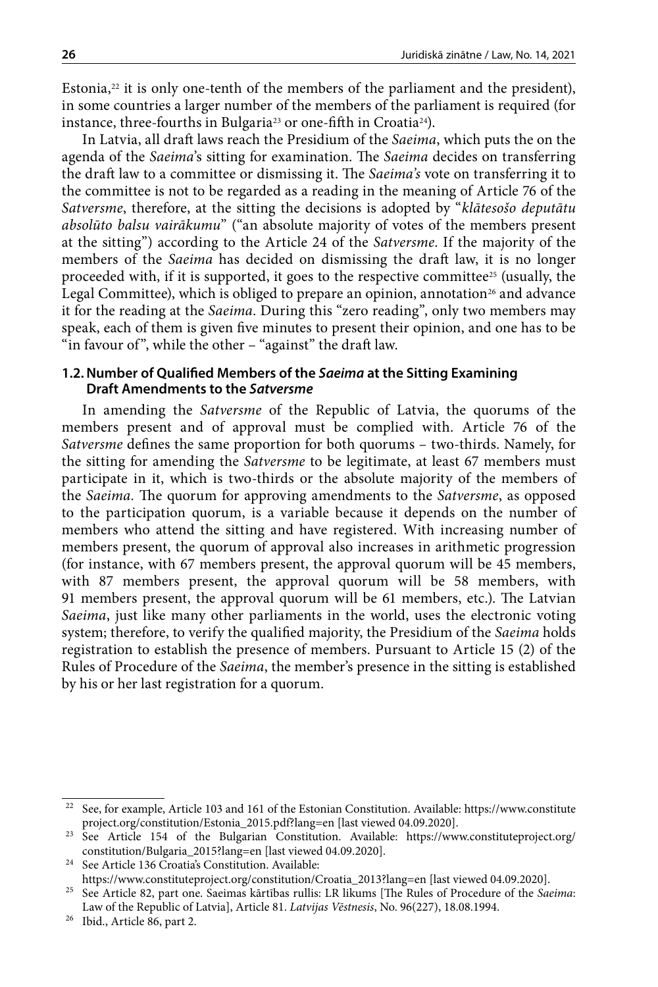Estonia, $22$  it is only one-tenth of the members of the parliament and the president), in some countries a larger number of the members of the parliament is required (for instance, three-fourths in Bulgaria<sup>23</sup> or one-fifth in Croatia<sup>24</sup>).

In Latvia, all draft laws reach the Presidium of the *Saeima*, which puts the on the agenda of the *Saeima*'s sitting for examination. The *Saeima* decides on transferring the draft law to a committee or dismissing it. The *Saeima's* vote on transferring it to the committee is not to be regarded as a reading in the meaning of Article 76 of the *Satversme*, therefore, at the sitting the decisions is adopted by "*klātesošo deputātu absolūto balsu vairākumu*" ("an absolute majority of votes of the members present at the sitting") according to the Article 24 of the *Satversme*. If the majority of the members of the *Saeima* has decided on dismissing the draft law, it is no longer proceeded with, if it is supported, it goes to the respective committee<sup>25</sup> (usually, the Legal Committee), which is obliged to prepare an opinion, annotation<sup>26</sup> and advance it for the reading at the *Saeima*. During this "zero reading", only two members may speak, each of them is given five minutes to present their opinion, and one has to be "in favour of", while the other – "against" the draft law.

#### **1.2.Number of Qualified Members of the** *Saeima* **at the Sitting Examining Draft Amendments to the** *Satversme*

In amending the *Satversme* of the Republic of Latvia, the quorums of the members present and of approval must be complied with. Article 76 of the *Satversme* defines the same proportion for both quorums – two-thirds. Namely, for the sitting for amending the *Satversme* to be legitimate, at least 67 members must participate in it, which is two-thirds or the absolute majority of the members of the *Saeima.* The quorum for approving amendments to the *Satversme*, as opposed to the participation quorum, is a variable because it depends on the number of members who attend the sitting and have registered. With increasing number of members present, the quorum of approval also increases in arithmetic progression (for instance, with 67 members present, the approval quorum will be 45 members, with 87 members present, the approval quorum will be 58 members, with 91 members present, the approval quorum will be 61 members, etc.). The Latvian *Saeima*, just like many other parliaments in the world, uses the electronic voting system; therefore, to verify the qualified majority, the Presidium of the *Saeima* holds registration to establish the presence of members. Pursuant to Article 15 (2) of the Rules of Procedure of the *Saeima*, the member's presence in the sitting is established by his or her last registration for a quorum.

 $^{22}\,$  See, for example, Article 103 and 161 of the Estonian Constitution. Available: [https://www.constitute](https://www.constituteproject.org/constitution/Estonia_2015.pdf?lang=en) [project.org/constitution/Estonia\\_2015.pdf?lang=en](https://www.constituteproject.org/constitution/Estonia_2015.pdf?lang=en) [last viewed 04.09.2020].

<sup>23</sup> See Article 154 of the Bulgarian Constitution. Available: [https://www.constituteproject.org/](https://www.constituteproject.org/constitution/Bulgaria_2015?lang=en) [constitution/Bulgaria\\_2015?lang=en](https://www.constituteproject.org/constitution/Bulgaria_2015?lang=en) [last viewed 04.09.2020].

<sup>&</sup>lt;sup>24</sup> See Article 136 Croatia's Constitution. Available: [https://www.constituteproject.org/constitution/Croatia\\_2013?lang=en](https://www.constituteproject.org/constitution/Croatia_2013?lang=en) [last viewed 04.09.2020].

<sup>25</sup> See Article 82, part one. Saeimas kārtības rullis: LR likums [The Rules of Procedure of the *Saeima*: Law of the Republic of Latvia], Article 81. *Latvijas Vēstnesis*, No. 96(227), 18.08.1994. 26 Ibid., Article 86, part 2.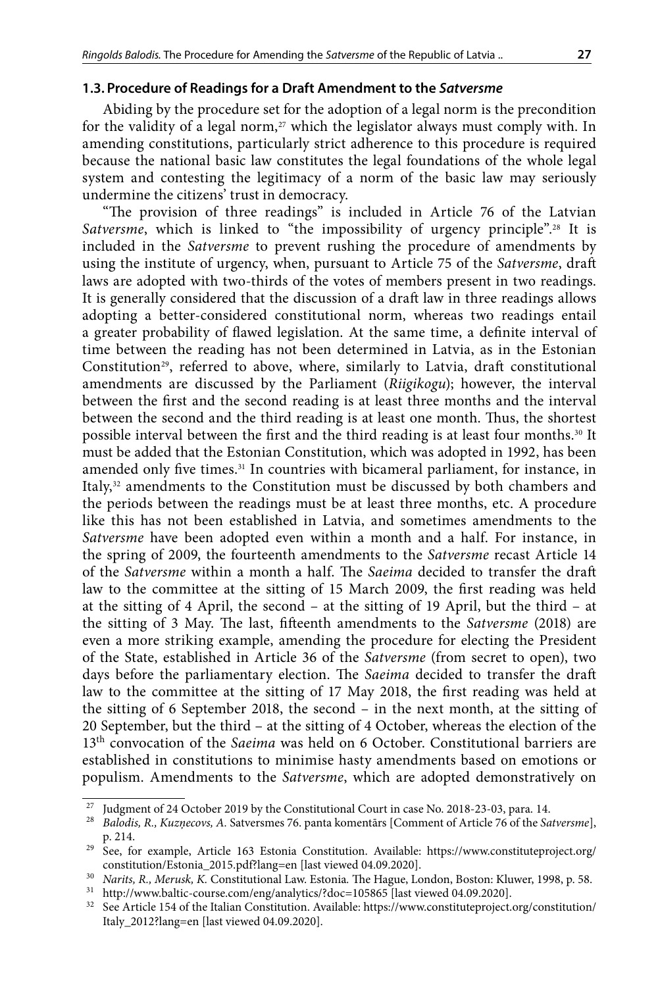#### **1.3. Procedure of Readings for a Draft Amendment to the** *Satversme*

Abiding by the procedure set for the adoption of a legal norm is the precondition for the validity of a legal norm, $27$  which the legislator always must comply with. In amending constitutions, particularly strict adherence to this procedure is required because the national basic law constitutes the legal foundations of the whole legal system and contesting the legitimacy of a norm of the basic law may seriously undermine the citizens' trust in democracy.

"The provision of three readings" is included in Article 76 of the Latvian Satversme, which is linked to "the impossibility of urgency principle".<sup>28</sup> It is included in the *Satversme* to prevent rushing the procedure of amendments by using the institute of urgency, when, pursuant to Article 75 of the *Satversme*, draft laws are adopted with two-thirds of the votes of members present in two readings. It is generally considered that the discussion of a draft law in three readings allows adopting a better-considered constitutional norm, whereas two readings entail a greater probability of flawed legislation. At the same time, a definite interval of time between the reading has not been determined in Latvia, as in the Estonian Constitution<sup>29</sup>, referred to above, where, similarly to Latvia, draft constitutional amendments are discussed by the Parliament (*Riigikogu*); however, the interval between the first and the second reading is at least three months and the interval between the second and the third reading is at least one month. Thus, the shortest possible interval between the first and the third reading is at least four months.30 It must be added that the Estonian Constitution, which was adopted in 1992, has been amended only five times.<sup>31</sup> In countries with bicameral parliament, for instance, in Italy,<sup>32</sup> amendments to the Constitution must be discussed by both chambers and the periods between the readings must be at least three months, etc. A procedure like this has not been established in Latvia, and sometimes amendments to the *Satversme* have been adopted even within a month and a half. For instance, in the spring of 2009, the fourteenth amendments to the *Satversme* recast Article 14 of the *Satversme* within a month a half. The *Saeima* decided to transfer the draft law to the committee at the sitting of 15 March 2009, the first reading was held at the sitting of 4 April, the second – at the sitting of 19 April, but the third – at the sitting of 3 May. The last, fifteenth amendments to the *Satversme* (2018) are even a more striking example, amending the procedure for electing the President of the State, established in Article 36 of the *Satversme* (from secret to open), two days before the parliamentary election. The *Saeima* decided to transfer the draft law to the committee at the sitting of 17 May 2018, the first reading was held at the sitting of 6 September 2018, the second – in the next month, at the sitting of 20 September, but the third – at the sitting of 4 October, whereas the election of the 13th convocation of the *Saeima* was held on 6 October. Constitutional barriers are established in constitutions to minimise hasty amendments based on emotions or populism. Amendments to the *Satversme*, which are adopted demonstratively on

<sup>27</sup> Judgment of 24 October 2019 by the Constitutional Court in case No. 2018-23-03, para. 14. 28 *Balodis, R., Kuzņecovs, A.* Satversmes 76. panta komentārs [Comment of Article 76 of the *Satversme*], p. 214. 29 See, for example, Article 163 Estonia Constitution. Available: [https://www.constituteproject.org/](https://www.constituteproject.org/constitution/Estonia_2015.pdf?lang=en)

[constitution/Estonia\\_2015.pdf?lang=en](https://www.constituteproject.org/constitution/Estonia_2015.pdf?lang=en) [last viewed 04.09.2020].

<sup>30</sup> *Narits, R., Merusk, K.* Constitutional Law. Estonia*.* The Hague, London, Boston: Kluwer, 1998, p. 58.

<sup>&</sup>lt;sup>31</sup> <http://www.baltic-course.com/eng/analytics/?doc=105865> [last viewed 04.09.2020].

<sup>32</sup> See Article 154 of the Italian Constitution. Available: [https://www.constituteproject.org/constitution/](https://www.constituteproject.org/constitution/Italy_2012?lang=en) [Italy\\_2012?lang=en](https://www.constituteproject.org/constitution/Italy_2012?lang=en) [last viewed 04.09.2020].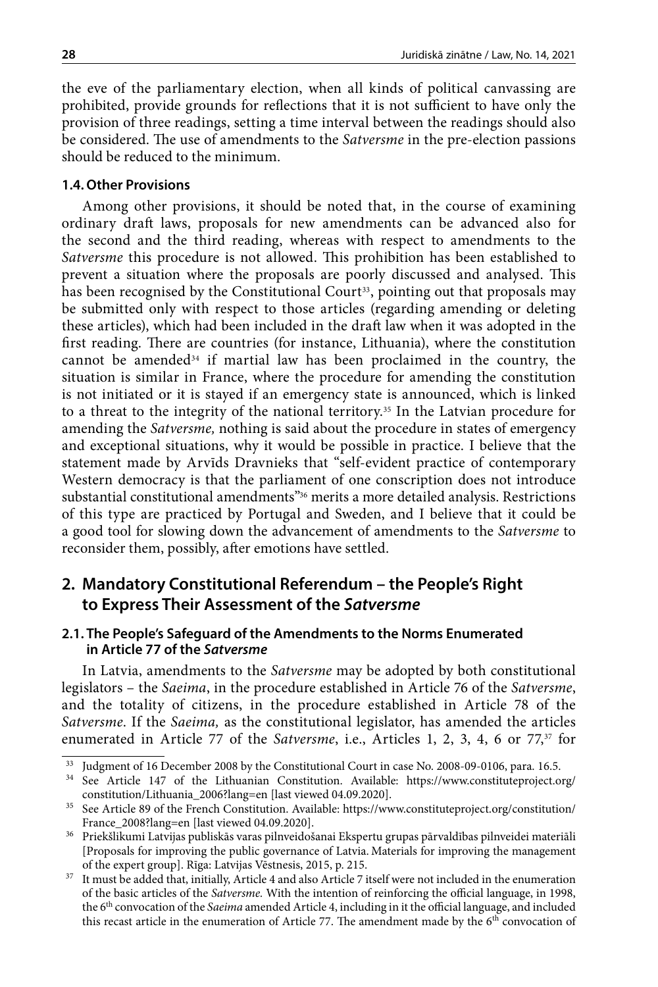the eve of the parliamentary election, when all kinds of political canvassing are prohibited, provide grounds for reflections that it is not sufficient to have only the provision of three readings, setting a time interval between the readings should also be considered. The use of amendments to the *Satversme* in the pre-election passions should be reduced to the minimum.

#### **1.4. Other Provisions**

Among other provisions, it should be noted that, in the course of examining ordinary draft laws, proposals for new amendments can be advanced also for the second and the third reading, whereas with respect to amendments to the *Satversme* this procedure is not allowed. This prohibition has been established to prevent a situation where the proposals are poorly discussed and analysed. This has been recognised by the Constitutional Court<sup>33</sup>, pointing out that proposals may be submitted only with respect to those articles (regarding amending or deleting these articles), which had been included in the draft law when it was adopted in the first reading. There are countries (for instance, Lithuania), where the constitution cannot be amended $34$  if martial law has been proclaimed in the country, the situation is similar in France, where the procedure for amending the constitution is not initiated or it is stayed if an emergency state is announced, which is linked to a threat to the integrity of the national territory.35 In the Latvian procedure for amending the *Satversme,* nothing is said about the procedure in states of emergency and exceptional situations, why it would be possible in practice. I believe that the statement made by Arvīds Dravnieks that "self-evident practice of contemporary Western democracy is that the parliament of one conscription does not introduce substantial constitutional amendments"36 merits a more detailed analysis. Restrictions of this type are practiced by Portugal and Sweden, and I believe that it could be a good tool for slowing down the advancement of amendments to the *Satversme* to reconsider them, possibly, after emotions have settled.

# **2. Mandatory Constitutional Referendum – the People's Right to Express Their Assessment of the** *Satversme*

### **2.1. The People's Safeguard of the Amendments to the Norms Enumerated in Article 77 of the** *Satversme*

In Latvia, amendments to the *Satversme* may be adopted by both constitutional legislators – the *Saeima*, in the procedure established in Article 76 of the *Satversme*, and the totality of citizens, in the procedure established in Article 78 of the *Satversme*. If the *Saeima,* as the constitutional legislator, has amended the articles enumerated in Article 77 of the *Satversme*, i.e., Articles 1, 2, 3, 4, 6 or  $77<sup>37</sup>$  for

<sup>&</sup>lt;sup>33</sup> Judgment of 16 December 2008 by the Constitutional Court in case No. 2008-09-0106, para. 16.5. <br><sup>34</sup> See Article 147 of the Lithuanian Constitution. Available: [https://www.constituteproject.org/](https://www.constituteproject.org/constitution/Lithuania_2006?lang=en) [constitution/Lithuania\\_2006?lang=en](https://www.constituteproject.org/constitution/Lithuania_2006?lang=en) [last viewed 04.09.2020].

<sup>35</sup> See Article 89 of the French Constitution. Available: https://www.constituteproject.org/constitution/ France\_2008?lang=en [last viewed 04.09.2020].

 $^{36}\;$  Priekšlikumi Latvijas publiskās varas pilnveidošanai Ekspertu grupas pārvaldības pilnveidei materiāli [Proposals for improving the public governance of Latvia. Materials for improving the management of the expert group]. Rīga: Latvijas Vēstnesis, 2015, p. 215.

<sup>&</sup>lt;sup>37</sup> It must be added that, initially, Article 4 and also Article 7 itself were not included in the enumeration of the basic articles of the *Satversme.* With the intention of reinforcing the official language, in 1998, the 6<sup>th</sup> convocation of the *Saeima* amended Article 4, including in it the official language, and included this recast article in the enumeration of Article 77. The amendment made by the  $6<sup>th</sup>$  convocation of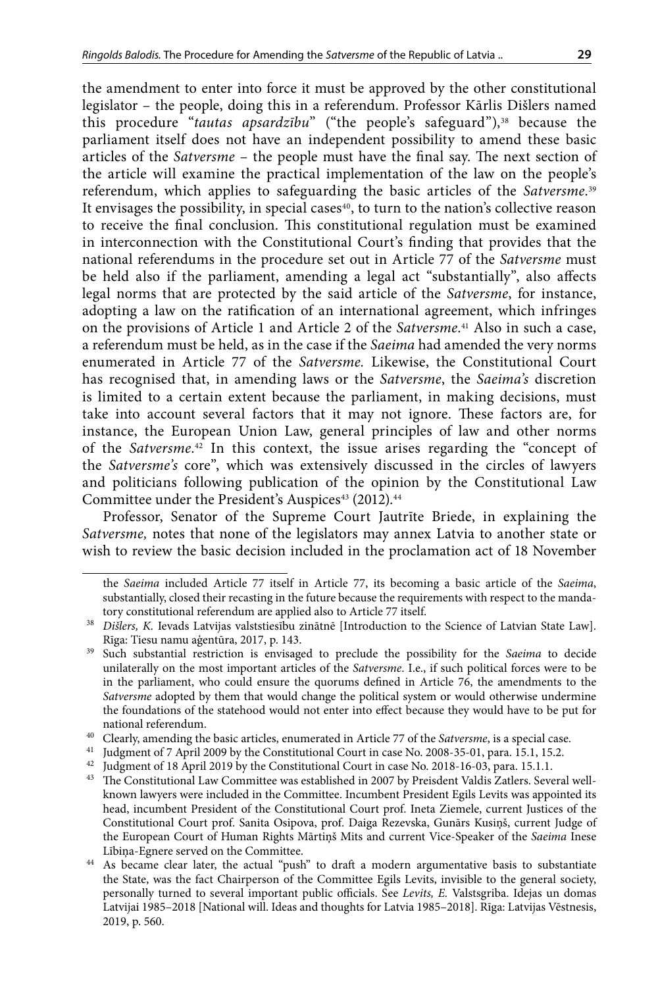the amendment to enter into force it must be approved by the other constitutional legislator – the people, doing this in a referendum. Professor Kārlis Dišlers named this procedure "tautas apsardzību" ("the people's safeguard"),<sup>38</sup> because the parliament itself does not have an independent possibility to amend these basic articles of the *Satversme* – the people must have the final say. The next section of the article will examine the practical implementation of the law on the people's referendum, which applies to safeguarding the basic articles of the *Satversme*. 39 It envisages the possibility, in special cases $40$ , to turn to the nation's collective reason to receive the final conclusion. This constitutional regulation must be examined in interconnection with the Constitutional Court's finding that provides that the national referendums in the procedure set out in Article 77 of the *Satversme* must be held also if the parliament, amending a legal act "substantially", also affects legal norms that are protected by the said article of the *Satversme*, for instance, adopting a law on the ratification of an international agreement, which infringes on the provisions of Article 1 and Article 2 of the *Satversme*. 41 Also in such a case, a referendum must be held, as in the case if the *Saeima* had amended the very norms enumerated in Article 77 of the *Satversme.* Likewise, the Constitutional Court has recognised that, in amending laws or the *Satversme*, the *Saeima's* discretion is limited to a certain extent because the parliament, in making decisions, must take into account several factors that it may not ignore. These factors are, for instance, the European Union Law, general principles of law and other norms of the *Satversme*. 42 In this context, the issue arises regarding the "concept of the *Satversme's* core", which was extensively discussed in the circles of lawyers and politicians following publication of the opinion by the Constitutional Law Committee under the President's Auspices<sup>43</sup> (2012).<sup>44</sup>

Professor, Senator of the Supreme Court Jautrīte Briede, in explaining the *Satversme,* notes that none of the legislators may annex Latvia to another state or wish to review the basic decision included in the proclamation act of 18 November

the *Saeima* included Article 77 itself in Article 77, its becoming a basic article of the *Saeima*, substantially, closed their recasting in the future because the requirements with respect to the manda-

tory constitutional referendum are applied also to Article 77 itself. 38 *Dišlers, K.* Ievads Latvijas valststiesību zinātnē [Introduction to the Science of Latvian State Law]. Rīga: Tiesu namu aģentūra, 2017, p. 143.

<sup>39</sup> Such substantial restriction is envisaged to preclude the possibility for the *Saeima* to decide unilaterally on the most important articles of the *Satversme*. I.e., if such political forces were to be in the parliament, who could ensure the quorums defined in Article 76, the amendments to the *Satversme* adopted by them that would change the political system or would otherwise undermine the foundations of the statehood would not enter into effect because they would have to be put for national referendum.

<sup>40</sup> Clearly, amending the basic articles, enumerated in Article 77 of the *Satversme*, is a special case.

<sup>41</sup> Judgment of 7 April 2009 by the Constitutional Court in case No. 2008-35-01, para. 15.1, 15.2.

<sup>&</sup>lt;sup>42</sup> Judgment of 18 April 2019 by the Constitutional Court in case No. 2018-16-03, para. 15.1.1.

<sup>43</sup> The Constitutional Law Committee was established in 2007 by Preisdent Valdis Zatlers. Several wellknown lawyers were included in the Committee. Incumbent President Egils Levits was appointed its head, incumbent President of the Constitutional Court prof. Ineta Ziemele, current Justices of the Constitutional Court prof. Sanita Osipova, prof. Daiga Rezevska, Gunārs Kusiņš, current Judge of the European Court of Human Rights Mārtiņš Mits and current Vice-Speaker of the *Saeima* Inese

Lībiņa-Egnere served on the Committee.<br>As became clear later, the actual "push" to draft a modern argumentative basis to substantiate the State, was the fact Chairperson of the Committee Egils Levits, invisible to the general society, personally turned to several important public officials. See *Levits, E.* Valstsgriba. Idejas un domas Latvijai 1985–2018 [National will. Ideas and thoughts for Latvia 1985–2018]. Rīga: Latvijas Vēstnesis, 2019, p. 560.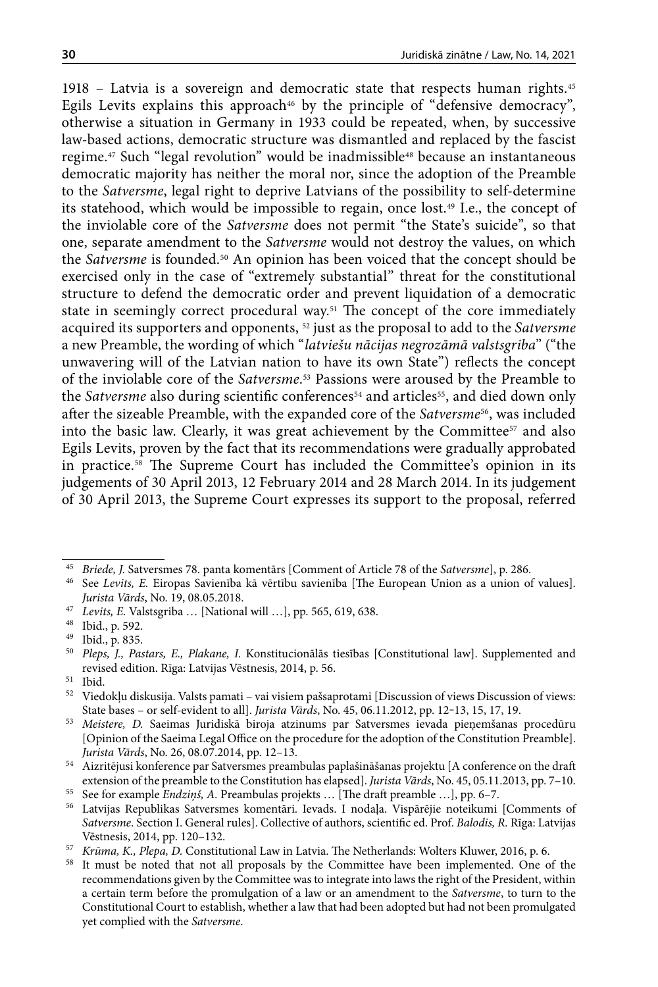1918 – Latvia is a sovereign and democratic state that respects human rights.45 Egils Levits explains this approach<sup>46</sup> by the principle of "defensive democracy", otherwise a situation in Germany in 1933 could be repeated, when, by successive law-based actions, democratic structure was dismantled and replaced by the fascist regime.<sup>47</sup> Such "legal revolution" would be inadmissible<sup>48</sup> because an instantaneous democratic majority has neither the moral nor, since the adoption of the Preamble to the *Satversme*, legal right to deprive Latvians of the possibility to self-determine its statehood, which would be impossible to regain, once lost.49 I.e., the concept of the inviolable core of the *Satversme* does not permit "the State's suicide", so that one, separate amendment to the *Satversme* would not destroy the values, on which the *Satversme* is founded.<sup>50</sup> An opinion has been voiced that the concept should be exercised only in the case of "extremely substantial" threat for the constitutional structure to defend the democratic order and prevent liquidation of a democratic state in seemingly correct procedural way.51 The concept of the core immediately acquired its supporters and opponents, 52 just as the proposal to add to the *Satversme* a new Preamble, the wording of which "*latviešu nācijas negrozāmā valstsgriba*" ("the unwavering will of the Latvian nation to have its own State") reflects the concept of the inviolable core of the *Satversme*. 53 Passions were aroused by the Preamble to the *Satversme* also during scientific conferences<sup>54</sup> and articles<sup>55</sup>, and died down only after the sizeable Preamble, with the expanded core of the *Satversme<sup>56</sup>*, was included into the basic law. Clearly, it was great achievement by the Committee<sup>57</sup> and also Egils Levits, proven by the fact that its recommendations were gradually approbated in practice.58 The Supreme Court has included the Committee's opinion in its judgements of 30 April 2013, 12 February 2014 and 28 March 2014. In its judgement of 30 April 2013, the Supreme Court expresses its support to the proposal, referred

<sup>45</sup> *Briede, J.* Satversmes 78. panta komentārs [Comment of Article 78 of the *Satversme*], p. 286.

<sup>46</sup> See *Levits, E.* Eiropas Savienība kā vērtību savienība [The European Union as a union of values]. *Jurista Vārds*, No. 19, 08.05.2018.

<sup>47</sup> *Levits, E.* Valstsgriba … [National will …], pp. 565, 619, 638.

<sup>48</sup> Ibid., p. 592.

<sup>49</sup> Ibid., p. 835.

<sup>50</sup> *Pleps, J., Pastars, E., Plakane, I.* Konstitucionālās tiesības [Constitutional law]. Supplemented and revised edition. Rīga: Latvijas Vēstnesis, 2014, p. 56.

 $51$  Ibid.

 $^{52}\;$  Viedokļu diskusija. Valsts pamati – vai visiem pašsaprotami [Discussion of views Discussion of views: State bases – or self-evident to all]. *Jurista Vārds*, No. 45, 06.11.2012, pp. 12‒13, 15, 17, 19.

<sup>53</sup> *Meistere, D.* Saeimas Juridiskā biroja atzinums par Satversmes ievada pieņemšanas procedūru [Opinion of the Saeima Legal Office on the procedure for the adoption of the Constitution Preamble]. *Jurista Vārds*, No. 26, 08.07.2014, pp. 12–13.

<sup>54</sup> Aizritējusi konference par Satversmes preambulas paplašināšanas projektu [A conference on the draft extension of the preamble to the Constitution has elapsed]. *Jurista Vārds*, No. 45, 05.11.2013, pp. 7–10.

<sup>55</sup> See for example *Endziņš, A.* Preambulas projekts … [The draft preamble …], pp. 6–7.

<sup>56</sup> Latvijas Republikas Satversmes komentāri. Ievads. I nodaļa. Vispārējie noteikumi [Comments of *Satversme*. Section I. General rules]. Collective of authors, scientific ed. Prof. *Balodis, R.* Rīga: Latvijas Vēstnesis, 2014, pp. 120–132.

<sup>57</sup> *Krūma, K., Plepa, D.* Constitutional Law in Latvia. The Netherlands: Wolters Kluwer, 2016, p. 6.

It must be noted that not all proposals by the Committee have been implemented. One of the recommendations given by the Committee was to integrate into laws the right of the President, within a certain term before the promulgation of a law or an amendment to the *Satversme*, to turn to the Constitutional Court to establish, whether a law that had been adopted but had not been promulgated yet complied with the *Satversme*.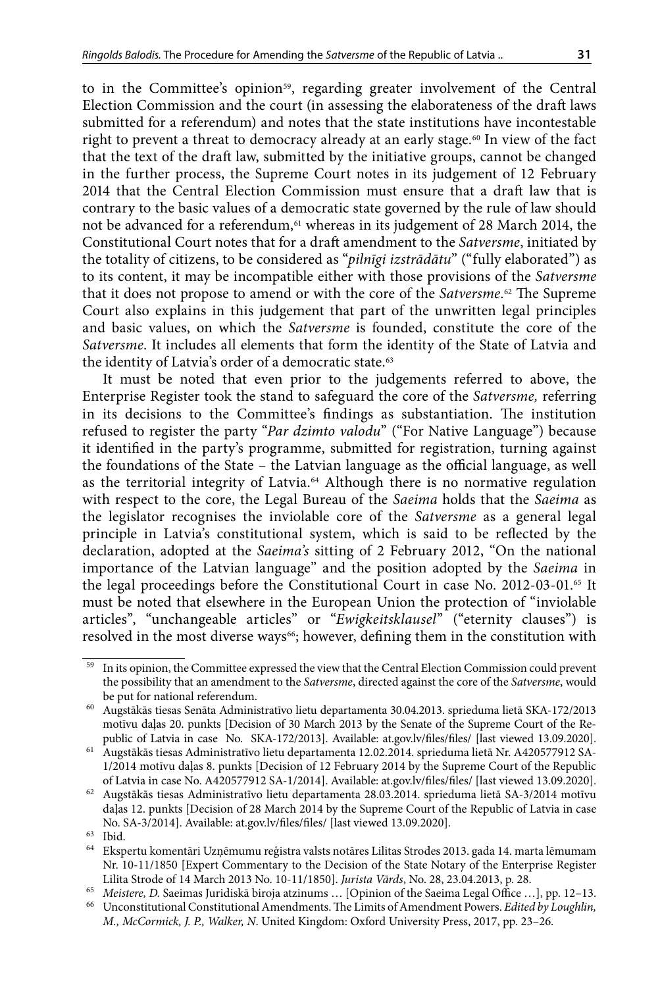to in the Committee's opinion<sup>59</sup>, regarding greater involvement of the Central Election Commission and the court (in assessing the elaborateness of the draft laws submitted for a referendum) and notes that the state institutions have incontestable right to prevent a threat to democracy already at an early stage.60 In view of the fact that the text of the draft law, submitted by the initiative groups, cannot be changed in the further process, the Supreme Court notes in its judgement of 12 February 2014 that the Central Election Commission must ensure that a draft law that is contrary to the basic values of a democratic state governed by the rule of law should not be advanced for a referendum,<sup>61</sup> whereas in its judgement of 28 March 2014, the Constitutional Court notes that for a draft amendment to the *Satversme*, initiated by the totality of citizens, to be considered as "*pilnīgi izstrādātu*" ("fully elaborated") as to its content, it may be incompatible either with those provisions of the *Satversme*  that it does not propose to amend or with the core of the *Satversme*. 62 The Supreme Court also explains in this judgement that part of the unwritten legal principles and basic values, on which the *Satversme* is founded, constitute the core of the *Satversme*. It includes all elements that form the identity of the State of Latvia and the identity of Latvia's order of a democratic state.<sup>63</sup>

It must be noted that even prior to the judgements referred to above, the Enterprise Register took the stand to safeguard the core of the *Satversme,* referring in its decisions to the Committee's findings as substantiation. The institution refused to register the party "*Par dzimto valodu*" ("For Native Language") because it identified in the party's programme, submitted for registration, turning against the foundations of the State – the Latvian language as the official language, as well as the territorial integrity of Latvia.64 Although there is no normative regulation with respect to the core, the Legal Bureau of the *Saeima* holds that the *Saeima* as the legislator recognises the inviolable core of the *Satversme* as a general legal principle in Latvia's constitutional system, which is said to be reflected by the declaration, adopted at the *Saeima's* sitting of 2 February 2012, "On the national importance of the Latvian language" and the position adopted by the *Saeima* in the legal proceedings before the Constitutional Court in case No. 2012-03-01.<sup>65</sup> It must be noted that elsewhere in the European Union the protection of "inviolable articles", "unchangeable articles" or "*Ewigkeitsklausel*" ("eternity clauses") is resolved in the most diverse ways<sup>66</sup>; however, defining them in the constitution with

In its opinion, the Committee expressed the view that the Central Election Commission could prevent the possibility that an amendment to the *Satversme*, directed against the core of the *Satversme*, would be put for national referendum.

<sup>60</sup> Augstākās tiesas Senāta Administratīvo lietu departamenta 30.04.2013. sprieduma lietā SKA-172/2013 motīvu daļas 20. punkts [Decision of 30 March 2013 by the Senate of the Supreme Court of the Republic of Latvia in case No. SKA-172/2013]. Available: at.gov.lv/files/files/ [last viewed 13.09.2020].

<sup>61</sup> Augstākās tiesas Administratīvo lietu departamenta 12.02.2014. sprieduma lietā Nr. A420577912 SA-1/2014 motīvu daļas 8. punkts [Decision of 12 February 2014 by the Supreme Court of the Republic of Latvia in case No. A420577912 SA-1/2014]. Available: at.gov.lv/files/files/ [last viewed 13.09.2020].

 $^{62}\,$  Augstākās tiesas Administratīvo lietu departamenta 28.03.2014. sprieduma lietā SA-3/2014 motīvu daļas 12. punkts [Decision of 28 March 2014 by the Supreme Court of the Republic of Latvia in case No. SA-3/2014]. Available: at.gov.lv/files/files/ [last viewed 13.09.2020].

<sup>63</sup> Ibid.

<sup>64</sup> Ekspertu komentāri Uzņēmumu reģistra valsts notāres Lilitas Strodes 2013. gada 14. marta lēmumam Nr. 10-11/1850 [Expert Commentary to the Decision of the State Notary of the Enterprise Register Lilita Strode of 14 March 2013 No. 10-11/1850]. *Jurista Vārds*, No. 28, 23.04.2013, p. 28.

<sup>65</sup> *Meistere, D.* Saeimas Juridiskā biroja atzinums … [Opinion of the Saeima Legal Office …], pp. 12–13.

<sup>66</sup> Unconstitutional Constitutional Amendments. The Limits of Amendment Powers. *Edited by Loughlin, M., McCormick, J. P., Walker, N*. United Kingdom: Oxford University Press, 2017, pp. 23–26.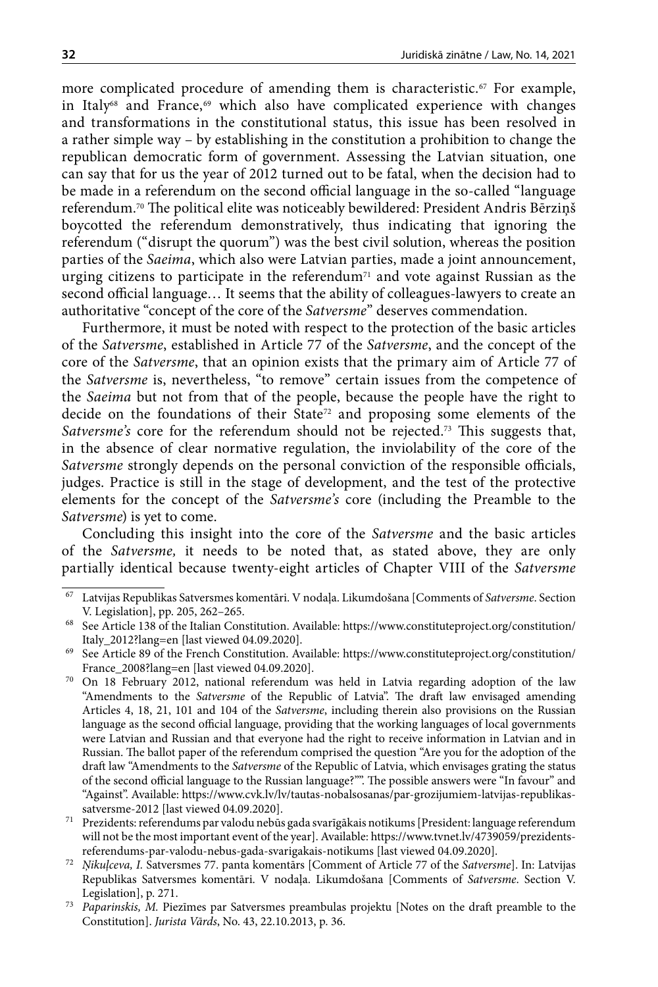more complicated procedure of amending them is characteristic.<sup>67</sup> For example, in Italy<sup>68</sup> and France,<sup>69</sup> which also have complicated experience with changes and transformations in the constitutional status, this issue has been resolved in a rather simple way – by establishing in the constitution a prohibition to change the republican democratic form of government. Assessing the Latvian situation, one can say that for us the year of 2012 turned out to be fatal, when the decision had to be made in a referendum on the second official language in the so-called "language referendum.70 The political elite was noticeably bewildered: President Andris Bērziņš boycotted the referendum demonstratively, thus indicating that ignoring the referendum ("disrupt the quorum") was the best civil solution, whereas the position parties of the *Saeima*, which also were Latvian parties, made a joint announcement, urging citizens to participate in the referendum<sup> $71$ </sup> and vote against Russian as the second official language… It seems that the ability of colleagues-lawyers to create an authoritative "concept of the core of the *Satversme*" deserves commendation.

Furthermore, it must be noted with respect to the protection of the basic articles of the *Satversme*, established in Article 77 of the *Satversme*, and the concept of the core of the *Satversme*, that an opinion exists that the primary aim of Article 77 of the *Satversme* is, nevertheless, "to remove" certain issues from the competence of the *Saeima* but not from that of the people, because the people have the right to decide on the foundations of their State<sup>72</sup> and proposing some elements of the Satversme's core for the referendum should not be rejected.<sup>73</sup> This suggests that, in the absence of clear normative regulation, the inviolability of the core of the *Satversme* strongly depends on the personal conviction of the responsible officials, judges. Practice is still in the stage of development, and the test of the protective elements for the concept of the *Satversme's* core (including the Preamble to the *Satversme*) is yet to come.

Concluding this insight into the core of the *Satversme* and the basic articles of the *Satversme,* it needs to be noted that, as stated above, they are only partially identical because twenty-eight articles of Chapter VIII of the *Satversme* 

<sup>67</sup> Latvijas Republikas Satversmes komentāri. V nodaļa. Likumdošana [Comments of *Satversme*. Section V. Legislation], pp. 205, 262–265.

<sup>68</sup> See Article 138 of the Italian Constitution. Available: [https://www.constituteproject.org/constitution/](https://www.constituteproject.org/constitution/Italy_2012?lang=en) [Italy\\_2012?lang=en](https://www.constituteproject.org/constitution/Italy_2012?lang=en) [last viewed 04.09.2020].

<sup>69</sup> See Article 89 of the French Constitution. Available: https://www.constituteproject.org/constitution/ France\_2008?lang=en [last viewed 04.09.2020].

<sup>70</sup> On 18 February 2012, national referendum was held in Latvia regarding adoption of the law "Amendments to the *Satversme* of the Republic of Latvia". The draft law envisaged amending Articles 4, 18, 21, 101 and 104 of the *Satversme*, including therein also provisions on the Russian language as the second official language, providing that the working languages of local governments were Latvian and Russian and that everyone had the right to receive information in Latvian and in Russian. The ballot paper of the referendum comprised the question "Are you for the adoption of the draft law "Amendments to the *Satversme* of the Republic of Latvia, which envisages grating the status of the second official language to the Russian language?"". The possible answers were "In favour" and "Against". Available: [https://www.cvk.lv/lv/tautas-nobalsosanas/par-grozijumiem-latvijas-republikas](https://www.cvk.lv/lv/tautas-nobalsosanas/par-grozijumiem-latvijas-republikas-satversme-2012)[satversme-2012](https://www.cvk.lv/lv/tautas-nobalsosanas/par-grozijumiem-latvijas-republikas-satversme-2012) [last viewed 04.09.2020].

 $^{71}\;$  Prezidents: referendums par valodu nebūs gada svarīgākais notikums [President: language referendum will not be the most important event of the year]. Available: [https://www.tvnet.lv/4739059/prezidents](https://www.tvnet.lv/4739059/prezidents-referendums-par-valodu-nebus-gada-svarigakais-notikums)[referendums-par-valodu-nebus-gada-svarigakais-notikums](https://www.tvnet.lv/4739059/prezidents-referendums-par-valodu-nebus-gada-svarigakais-notikums) [last viewed 04.09.2020].

<sup>72</sup> *Ņikuļceva, I.* Satversmes 77. panta komentārs [Comment of Article 77 of the *Satversme*]. In: Latvijas Republikas Satversmes komentāri. V nodaļa. Likumdošana [Comments of *Satversme*. Section V. Legislation], p. 271.

<sup>73</sup> *Paparinskis, M.* Piezīmes par Satversmes preambulas projektu [Notes on the draft preamble to the Constitution]. *Jurista Vārds*, No. 43, 22.10.2013, p. 36.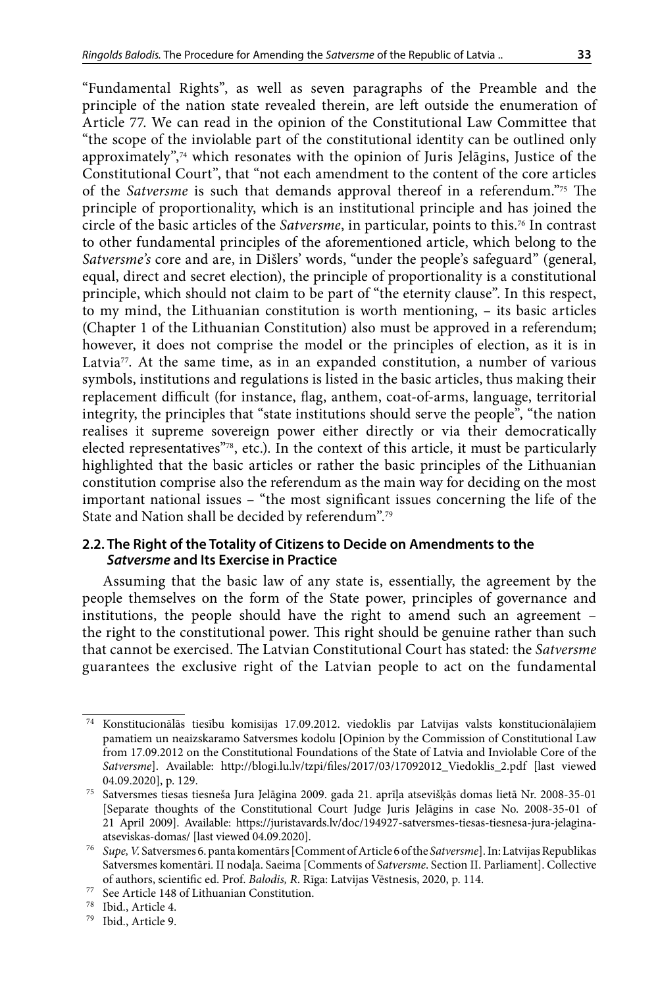"Fundamental Rights", as well as seven paragraphs of the Preamble and the principle of the nation state revealed therein, are left outside the enumeration of Article 77. We can read in the opinion of the Constitutional Law Committee that "the scope of the inviolable part of the constitutional identity can be outlined only approximately",74 which resonates with the opinion of Juris Jelāgins, Justice of the Constitutional Court", that "not each amendment to the content of the core articles of the *Satversme* is such that demands approval thereof in a referendum."75 The principle of proportionality, which is an institutional principle and has joined the circle of the basic articles of the *Satversme*, in particular, points to this.76 In contrast

to other fundamental principles of the aforementioned article, which belong to the *Satversme's* core and are, in Dišlers' words, "under the people's safeguard" (general, equal, direct and secret election), the principle of proportionality is a constitutional principle, which should not claim to be part of "the eternity clause". In this respect, to my mind, the Lithuanian constitution is worth mentioning, – its basic articles (Chapter 1 of the Lithuanian Constitution) also must be approved in a referendum; however, it does not comprise the model or the principles of election, as it is in Latvia<sup>77</sup>. At the same time, as in an expanded constitution, a number of various symbols, institutions and regulations is listed in the basic articles, thus making their replacement difficult (for instance, flag, anthem, coat-of-arms, language, territorial integrity, the principles that "state institutions should serve the people", "the nation realises it supreme sovereign power either directly or via their democratically elected representatives"78, etc.). In the context of this article, it must be particularly highlighted that the basic articles or rather the basic principles of the Lithuanian constitution comprise also the referendum as the main way for deciding on the most important national issues – "the most significant issues concerning the life of the State and Nation shall be decided by referendum".79

## **2.2. The Right of the Totality of Citizens to Decide on Amendments to the**  *Satversme* **and Its Exercise in Practice**

Assuming that the basic law of any state is, essentially, the agreement by the people themselves on the form of the State power, principles of governance and institutions, the people should have the right to amend such an agreement – the right to the constitutional power. This right should be genuine rather than such that cannot be exercised. The Latvian Constitutional Court has stated: the *Satversme* guarantees the exclusive right of the Latvian people to act on the fundamental

<sup>74</sup> Konstitucionālās tiesību komisijas 17.09.2012. viedoklis par Latvijas valsts konstitucionālajiem pamatiem un neaizskaramo Satversmes kodolu [Opinion by the Commission of Constitutional Law from 17.09.2012 on the Constitutional Foundations of the State of Latvia and Inviolable Core of the *Satversme*]. Available: [http://blogi.lu.lv/tzpi/files/2017/03/17092012\\_Viedoklis\\_2.pdf](http://blogi.lu.lv/tzpi/files/2017/03/17092012_Viedoklis_2.pdf) [last viewed 04.09.2020], p. 129.

<sup>75</sup> Satversmes tiesas tiesneša Jura Jelāgina 2009. gada 21. aprīļa atsevišķās domas lietā Nr. 2008-35-01 [Separate thoughts of the Constitutional Court Judge Juris Jelāgins in case No. 2008-35-01 of 21 April 2009]. Available: https://juristavards.lv/doc/194927-satversmes-tiesas-tiesnesa-jura-jelaginaatseviskas-domas/ [last viewed 04.09.2020].

<sup>76</sup> *Supe, V.* Satversmes 6. panta komentārs [Comment of Article 6 of the *Satversme*]. In: Latvijas Republikas Satversmes komentāri. II nodaļa. Saeima [Comments of *Satversme*. Section II. Parliament]. Collective of authors, scientific ed. Prof. *Balodis, R*. Rīga: Latvijas Vēstnesis, 2020, p. 114.

<sup>77</sup> See Article 148 of Lithuanian Constitution.

<sup>78</sup> Ibid., Article 4.

<sup>79</sup> Ibid., Article 9.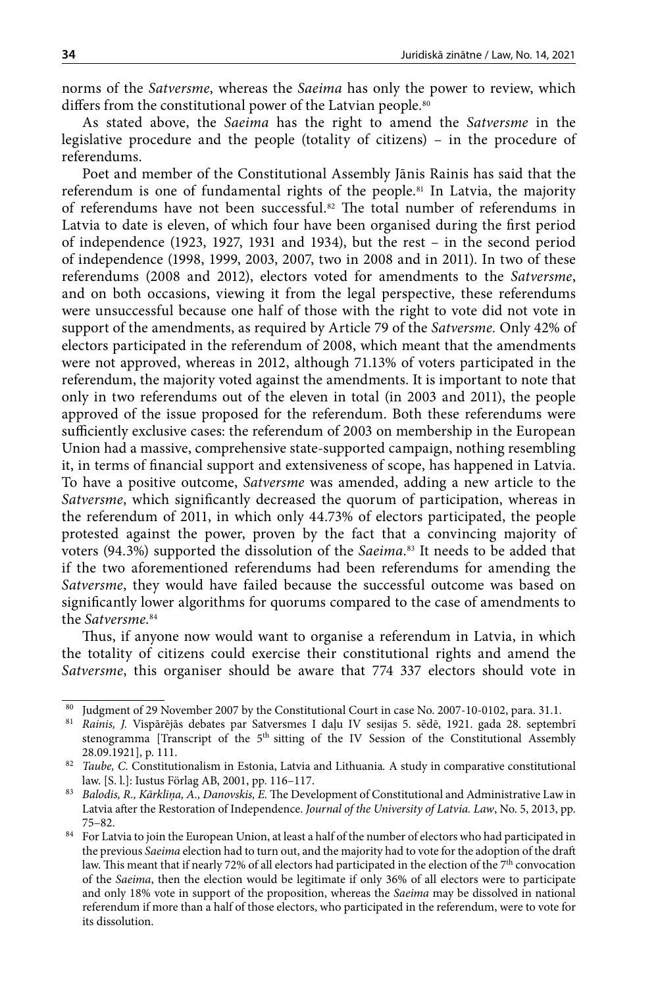norms of the *Satversme*, whereas the *Saeima* has only the power to review, which differs from the constitutional power of the Latvian people.<sup>80</sup>

As stated above, the *Saeima* has the right to amend the *Satversme* in the legislative procedure and the people (totality of citizens) – in the procedure of referendums.

Poet and member of the Constitutional Assembly Jānis Rainis has said that the referendum is one of fundamental rights of the people.<sup>81</sup> In Latvia, the majority of referendums have not been successful.82 The total number of referendums in Latvia to date is eleven, of which four have been organised during the first period of independence (1923, 1927, 1931 and 1934), but the rest – in the second period of independence (1998, 1999, 2003, 2007, two in 2008 and in 2011). In two of these referendums (2008 and 2012), electors voted for amendments to the *Satversme*, and on both occasions, viewing it from the legal perspective, these referendums were unsuccessful because one half of those with the right to vote did not vote in support of the amendments, as required by Article 79 of the *Satversme.* Only 42% of electors participated in the referendum of 2008, which meant that the amendments were not approved, whereas in 2012, although 71.13% of voters participated in the referendum, the majority voted against the amendments. It is important to note that only in two referendums out of the eleven in total (in 2003 and 2011), the people approved of the issue proposed for the referendum. Both these referendums were sufficiently exclusive cases: the referendum of 2003 on membership in the European Union had a massive, comprehensive state-supported campaign, nothing resembling it, in terms of financial support and extensiveness of scope, has happened in Latvia. To have a positive outcome, *Satversme* was amended, adding a new article to the *Satversme*, which significantly decreased the quorum of participation, whereas in the referendum of 2011, in which only 44.73% of electors participated, the people protested against the power, proven by the fact that a convincing majority of voters (94.3%) supported the dissolution of the *Saeima*. 83 It needs to be added that if the two aforementioned referendums had been referendums for amending the *Satversme*, they would have failed because the successful outcome was based on significantly lower algorithms for quorums compared to the case of amendments to the *Satversme*. 84

Thus, if anyone now would want to organise a referendum in Latvia, in which the totality of citizens could exercise their constitutional rights and amend the *Satversme*, this organiser should be aware that 774 337 electors should vote in

<sup>&</sup>lt;sup>80</sup> Judgment of 29 November 2007 by the Constitutional Court in case No. 2007-10-0102, para. 31.1.<br><sup>81</sup> Rainis J. Vispārējās debates par Satversmes J. daļu J.V. sesijas 5. sēdē. 1921. gada 28. septeml

<sup>81</sup> *Rainis, J.* Vispārējās debates par Satversmes I daļu IV sesijas 5. sēdē, 1921. gada 28. septembrī stenogramma [Transcript of the 5<sup>th</sup> sitting of the IV Session of the Constitutional Assembly 28.09.1921], p. 111.

<sup>82</sup> *Taube, C.* Constitutionalism in Estonia, Latvia and Lithuania*.* A study in comparative constitutional law. [S. l.]: Iustus Förlag AB, 2001, pp. 116–117.

<sup>83</sup> *Balodis, R., Kārkliņa, A., Danovskis, E.* The Development of Constitutional and Administrative Law in Latvia after the Restoration of Independence. *Journal of the University of Latvia. Law*, No. 5, 2013, pp. 75–82. 84 For Latvia to join the European Union, at least a half of the number of electors who had participated in

the previous *Saeima* election had to turn out, and the majority had to vote for the adoption of the draft law. This meant that if nearly 72% of all electors had participated in the election of the 7<sup>th</sup> convocation of the *Saeima*, then the election would be legitimate if only 36% of all electors were to participate and only 18% vote in support of the proposition, whereas the *Saeima* may be dissolved in national referendum if more than a half of those electors, who participated in the referendum, were to vote for its dissolution.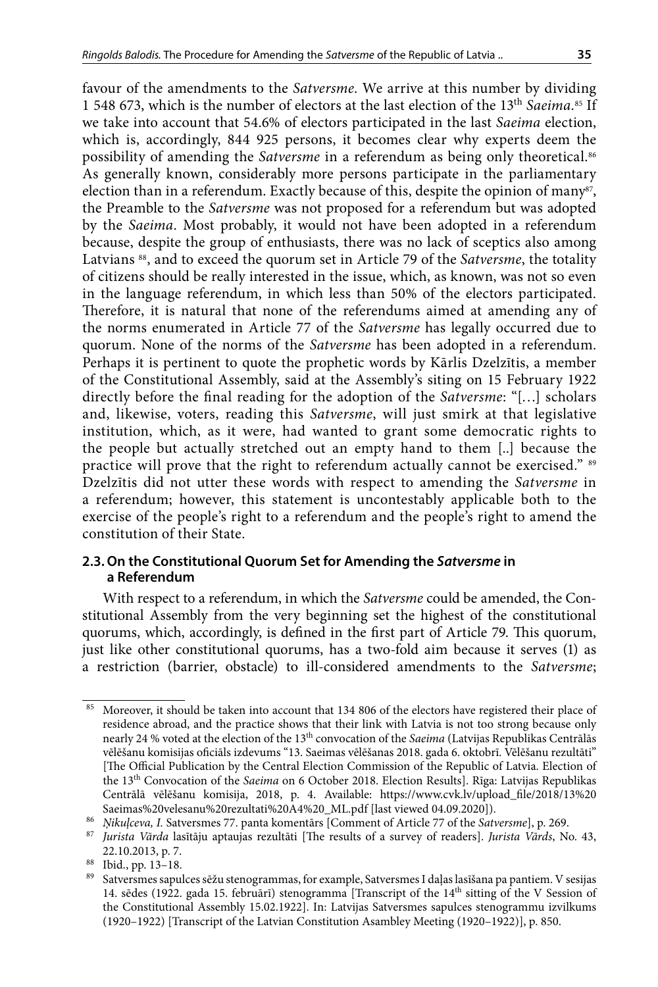favour of the amendments to the *Satversme*. We arrive at this number by dividing 1 548 673, which is the number of electors at the last election of the 13<sup>th</sup> Saeima.<sup>85</sup> If we take into account that 54.6% of electors participated in the last *Saeima* election, which is, accordingly, 844 925 persons, it becomes clear why experts deem the possibility of amending the *Satversme* in a referendum as being only theoretical.<sup>86</sup> As generally known, considerably more persons participate in the parliamentary election than in a referendum. Exactly because of this, despite the opinion of many<sup>87</sup>, the Preamble to the *Satversme* was not proposed for a referendum but was adopted by the *Saeima*. Most probably, it would not have been adopted in a referendum because, despite the group of enthusiasts, there was no lack of sceptics also among Latvians 88, and to exceed the quorum set in Article 79 of the *Satversme*, the totality of citizens should be really interested in the issue, which, as known, was not so even in the language referendum, in which less than 50% of the electors participated. Therefore, it is natural that none of the referendums aimed at amending any of the norms enumerated in Article 77 of the *Satversme* has legally occurred due to quorum. None of the norms of the *Satversme* has been adopted in a referendum. Perhaps it is pertinent to quote the prophetic words by Kārlis Dzelzītis, a member of the Constitutional Assembly, said at the Assembly's siting on 15 February 1922 directly before the final reading for the adoption of the *Satversme*: "[…] scholars and, likewise, voters, reading this *Satversme*, will just smirk at that legislative institution, which, as it were, had wanted to grant some democratic rights to the people but actually stretched out an empty hand to them [..] because the practice will prove that the right to referendum actually cannot be exercised." 89 Dzelzītis did not utter these words with respect to amending the *Satversme* in a referendum; however, this statement is uncontestably applicable both to the exercise of the people's right to a referendum and the people's right to amend the constitution of their State.

### **2.3. On the Constitutional Quorum Set for Amending the** *Satversme* **in a Referendum**

With respect to a referendum, in which the *Satversme* could be amended, the Constitutional Assembly from the very beginning set the highest of the constitutional quorums, which, accordingly, is defined in the first part of Article 79. This quorum, just like other constitutional quorums, has a two-fold aim because it serves (1) as a restriction (barrier, obstacle) to ill-considered amendments to the *Satversme*;

<sup>85</sup> Moreover, it should be taken into account that 134 806 of the electors have registered their place of residence abroad, and the practice shows that their link with Latvia is not too strong because only nearly 24 % voted at the election of the 13th convocation of the *Saeima* (Latvijas Republikas Centrālās vēlēšanu komisijas oficiāls izdevums "13. Saeimas vēlēšanas 2018. gada 6. oktobrī. Vēlēšanu rezultāti" [The Official Publication by the Central Election Commission of the Republic of Latvia. Election of the 13th Convocation of the *Saeima* on 6 October 2018. Election Results]. Rīga: Latvijas Republikas Centrālā vēlēšanu komisija, 2018, p. 4. Available: [https://www.cvk.lv/upload\\_file/2018/13%20](https://www.cvk.lv/upload_file/2018/13 Saeimas velesanu rezultati A4 _ML.pdf) [Saeimas%20velesanu%20rezultati%20A4%20\\_ML.pdf](https://www.cvk.lv/upload_file/2018/13 Saeimas velesanu rezultati A4 _ML.pdf) [last viewed 04.09.2020]).

<sup>86</sup> *Ņikuļceva, I.* Satversmes 77. panta komentārs [Comment of Article 77 of the *Satversme*], p. 269.

<sup>87</sup> *Jurista Vārda* lasītāju aptaujas rezultāti [The results of a survey of readers]. *Jurista Vārds*, No. 43, 22.10.2013, p. 7.

 $\frac{88}{89}$  Ibid., pp. 13–18.

Satversmes sapulces sēžu stenogrammas, for example, Satversmes I daļas lasīšana pa pantiem. V sesijas 14. sēdes (1922. gada 15. februārī) stenogramma [Transcript of the 14<sup>th</sup> sitting of the V Session of the Constitutional Assembly 15.02.1922]. In: Latvijas Satversmes sapulces stenogrammu izvilkums (1920–1922) [Transcript of the Latvian Constitution Asambley Meeting (1920–1922)], p. 850.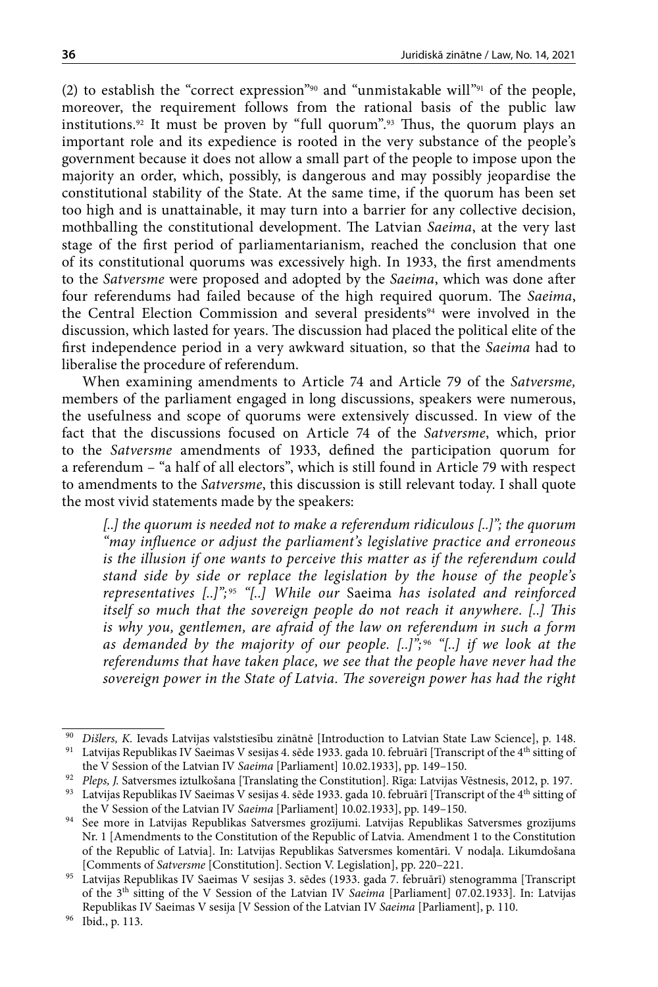(2) to establish the "correct expression"90 and "unmistakable will"91 of the people, moreover, the requirement follows from the rational basis of the public law institutions.92 It must be proven by "full quorum".93 Thus, the quorum plays an important role and its expedience is rooted in the very substance of the people's government because it does not allow a small part of the people to impose upon the majority an order, which, possibly, is dangerous and may possibly jeopardise the constitutional stability of the State. At the same time, if the quorum has been set too high and is unattainable, it may turn into a barrier for any collective decision, mothballing the constitutional development. The Latvian *Saeima*, at the very last stage of the first period of parliamentarianism, reached the conclusion that one of its constitutional quorums was excessively high. In 1933, the first amendments to the *Satversme* were proposed and adopted by the *Saeima*, which was done after four referendums had failed because of the high required quorum. The *Saeima*, the Central Election Commission and several presidents<sup>94</sup> were involved in the discussion, which lasted for years. The discussion had placed the political elite of the first independence period in a very awkward situation, so that the *Saeima* had to liberalise the procedure of referendum.

When examining amendments to Article 74 and Article 79 of the *Satversme,* members of the parliament engaged in long discussions, speakers were numerous, the usefulness and scope of quorums were extensively discussed. In view of the fact that the discussions focused on Article 74 of the *Satversme*, which, prior to the *Satversme* amendments of 1933, defined the participation quorum for a referendum – "a half of all electors", which is still found in Article 79 with respect to amendments to the *Satversme*, this discussion is still relevant today. I shall quote the most vivid statements made by the speakers:

*[..] the quorum is needed not to make a referendum ridiculous [..]"; the quorum "may influence or adjust the parliament's legislative practice and erroneous is the illusion if one wants to perceive this matter as if the referendum could stand side by side or replace the legislation by the house of the people's representatives [..]";* <sup>95</sup> *"[..] While our* Saeima *has isolated and reinforced itself so much that the sovereign people do not reach it anywhere. [..] This is why you, gentlemen, are afraid of the law on referendum in such a form as demanded by the majority of our people. [..]";* <sup>96</sup> *"[..] if we look at the referendums that have taken place, we see that the people have never had the sovereign power in the State of Latvia. The sovereign power has had the right* 

<sup>90</sup> *Dišlers, K.* Ievads Latvijas valststiesību zinātnē [Introduction to Latvian State Law Science], p. 148.  $^{91}\;$  Latvijas Republikas IV Saeimas V sesijas 4. sēde 1933. gada 10. februārī [Transcript of the 4<sup>th</sup> sitting of the V Session of the Latvian IV *Saeima* [Parliament] 10.02.1933], pp. 149–150.

<sup>92</sup> *Pleps, J.* Satversmes iztulkošana [Translating the Constitution]. Rīga: Latvijas Vēstnesis, 2012, p. 197.

<sup>93</sup> Latvijas Republikas IV Saeimas V sesijas 4. sēde 1933. gada 10. februārī [Transcript of the 4<sup>th</sup> sitting of the V Session of the Latvian IV *Saeima* [Parliament] 10.02.1933], pp. 149–150.

<sup>94</sup> See more in Latvijas Republikas Satversmes grozījumi. Latvijas Republikas Satversmes grozījums Nr. 1 [Amendments to the Constitution of the Republic of Latvia. Amendment 1 to the Constitution of the Republic of Latvia]. In: Latvijas Republikas Satversmes komentāri. V nodaļa. Likumdošana [Comments of *Satversme* [Constitution]. Section V. Legislation], pp. 220–221.

<sup>95</sup> Latvijas Republikas IV Saeimas V sesijas 3. sēdes (1933. gada 7. februārī) stenogramma [Transcript of the 3th sitting of the V Session of the Latvian IV *Saeima* [Parliament] 07.02.1933]. In: Latvijas Republikas IV Saeimas V sesija [V Session of the Latvian IV *Saeima* [Parliament], p. 110.

<sup>96</sup> Ibid., p. 113.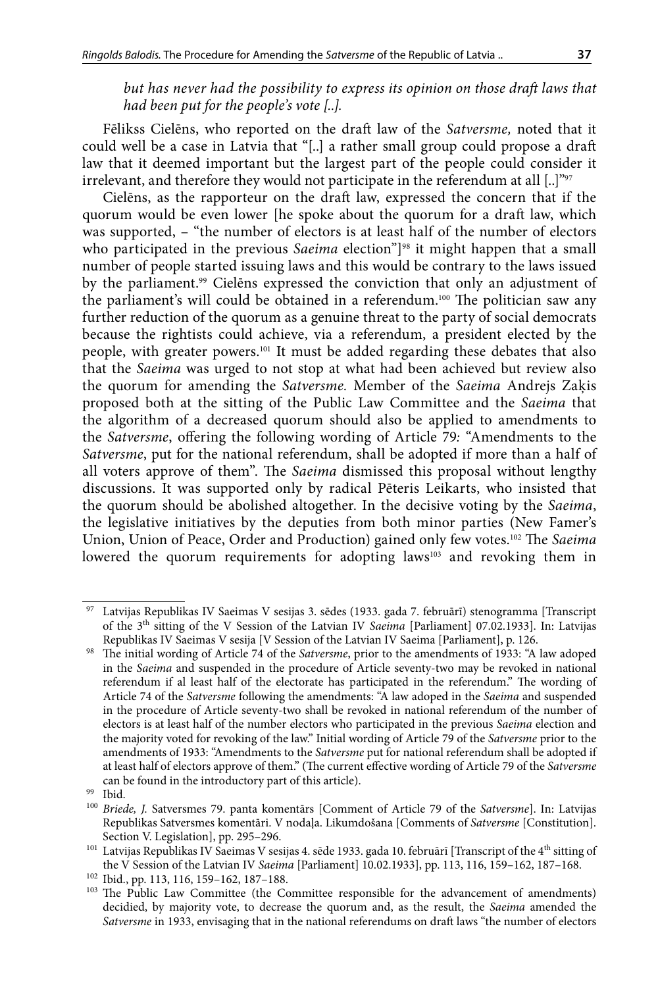*but has never had the possibility to express its opinion on those draft laws that had been put for the people's vote [..].*

Fēlikss Cielēns, who reported on the draft law of the *Satversme,* noted that it could well be a case in Latvia that "[..] a rather small group could propose a draft law that it deemed important but the largest part of the people could consider it irrelevant, and therefore they would not participate in the referendum at all  $[...]^{\nu_{97}}$ 

Cielēns, as the rapporteur on the draft law, expressed the concern that if the quorum would be even lower [he spoke about the quorum for a draft law, which was supported, – "the number of electors is at least half of the number of electors who participated in the previous *Saeima* election"<sup>[98</sup> it might happen that a small number of people started issuing laws and this would be contrary to the laws issued by the parliament.<sup>99</sup> Cielēns expressed the conviction that only an adjustment of the parliament's will could be obtained in a referendum.100 The politician saw any further reduction of the quorum as a genuine threat to the party of social democrats because the rightists could achieve, via a referendum, a president elected by the people, with greater powers.101 It must be added regarding these debates that also that the *Saeima* was urged to not stop at what had been achieved but review also the quorum for amending the *Satversme.* Member of the *Saeima* Andrejs Zaķis proposed both at the sitting of the Public Law Committee and the *Saeima* that the algorithm of a decreased quorum should also be applied to amendments to the *Satversme*, offering the following wording of Article 79*:* "Amendments to the *Satversme*, put for the national referendum, shall be adopted if more than a half of all voters approve of them". The *Saeima* dismissed this proposal without lengthy discussions. It was supported only by radical Pēteris Leikarts, who insisted that the quorum should be abolished altogether. In the decisive voting by the *Saeima*, the legislative initiatives by the deputies from both minor parties (New Famer's Union, Union of Peace, Order and Production) gained only few votes.102 The *Saeima* lowered the quorum requirements for adopting laws<sup>103</sup> and revoking them in

Latvijas Republikas IV Saeimas V sesijas 3. sēdes (1933. gada 7. februārī) stenogramma [Transcript of the 3th sitting of the V Session of the Latvian IV *Saeima* [Parliament] 07.02.1933]. In: Latvijas Republikas IV Saeimas V sesija [V Session of the Latvian IV Saeima [Parliament], p. 126.

<sup>98</sup> The initial wording of Article 74 of the *Satversme*, prior to the amendments of 1933: "A law adoped in the *Saeima* and suspended in the procedure of Article seventy-two may be revoked in national referendum if al least half of the electorate has participated in the referendum." The wording of Article 74 of the *Satversme* following the amendments: "A law adoped in the *Saeima* and suspended in the procedure of Article seventy-two shall be revoked in national referendum of the number of electors is at least half of the number electors who participated in the previous *Saeima* election and the majority voted for revoking of the law." Initial wording of Article 79 of the *Satversme* prior to the amendments of 1933: "Amendments to the *Satversme* put for national referendum shall be adopted if at least half of electors approve of them." (The current effective wording of Article 79 of the *Satversme*  can be found in the introductory part of this article).

<sup>99</sup> Ibid.

<sup>100</sup> *Briede, J.* Satversmes 79. panta komentārs [Comment of Article 79 of the *Satversme*]. In: Latvijas Republikas Satversmes komentāri. V nodaļa. Likumdošana [Comments of *Satversme* [Constitution]. Section V. Legislation], pp. 295–296.

 $^{101}$  Latvijas Republikas IV Saeimas V sesijas 4. sēde 1933. gada 10. februārī [Transcript of the 4<sup>th</sup> sitting of the V Session of the Latvian IV *Saeima* [Parliament] 10.02.1933], pp. 113, 116, 159–162, 187–168.

<sup>102</sup> Ibid., pp. 113, 116, 159–162, 187–188.

<sup>&</sup>lt;sup>103</sup> The Public Law Committee (the Committee responsible for the advancement of amendments) decidied, by majority vote, to decrease the quorum and, as the result, the *Saeima* amended the *Satversme* in 1933, envisaging that in the national referendums on draft laws "the number of electors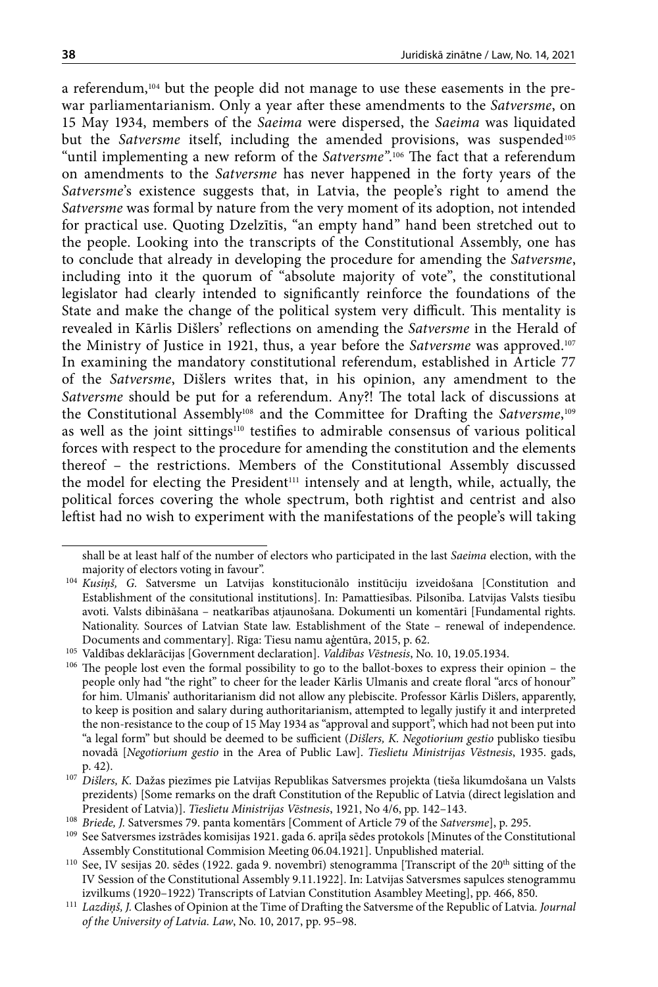a referendum,<sup>104</sup> but the people did not manage to use these easements in the prewar parliamentarianism. Only a year after these amendments to the *Satversme*, on 15 May 1934, members of the *Saeima* were dispersed, the *Saeima* was liquidated but the *Satversme* itself, including the amended provisions, was suspended<sup>105</sup> "until implementing a new reform of the *Satversme"*. 106 The fact that a referendum on amendments to the *Satversme* has never happened in the forty years of the *Satversme*'s existence suggests that, in Latvia, the people's right to amend the *Satversme* was formal by nature from the very moment of its adoption, not intended for practical use. Quoting Dzelzītis, "an empty hand" hand been stretched out to the people. Looking into the transcripts of the Constitutional Assembly, one has to conclude that already in developing the procedure for amending the *Satversme*, including into it the quorum of "absolute majority of vote", the constitutional legislator had clearly intended to significantly reinforce the foundations of the State and make the change of the political system very difficult. This mentality is revealed in Kārlis Dišlers' reflections on amending the *Satversme* in the Herald of the Ministry of Justice in 1921, thus, a year before the *Satversme* was approved.<sup>107</sup> In examining the mandatory constitutional referendum, established in Article 77 of the *Satversme*, Dišlers writes that, in his opinion, any amendment to the *Satversme* should be put for a referendum. Any?! The total lack of discussions at the Constitutional Assembly<sup>108</sup> and the Committee for Drafting the S*atversme*,<sup>109</sup> as well as the joint sittings<sup>110</sup> testifies to admirable consensus of various political forces with respect to the procedure for amending the constitution and the elements thereof – the restrictions. Members of the Constitutional Assembly discussed the model for electing the President<sup>111</sup> intensely and at length, while, actually, the political forces covering the whole spectrum, both rightist and centrist and also leftist had no wish to experiment with the manifestations of the people's will taking

shall be at least half of the number of electors who participated in the last *Saeima* election, with the majority of electors voting in favour".

<sup>104</sup> *Kusiņš, G.* Satversme un Latvijas konstitucionālo institūciju izveidošana [Constitution and Establishment of the consitutional institutions]. In: Pamattiesības. Pilsonība. Latvijas Valsts tiesību avoti. Valsts dibināšana – neatkarības atjaunošana. Dokumenti un komentāri [Fundamental rights. Nationality. Sources of Latvian State law. Establishment of the State – renewal of independence. Documents and commentary]. Rīga: Tiesu namu aģentūra, 2015, p. 62.

<sup>105</sup> Valdības deklarācijas [Government declaration]. *Valdības Vēstnesis*, No. 10, 19.05.1934.

<sup>&</sup>lt;sup>106</sup> The people lost even the formal possibility to go to the ballot-boxes to express their opinion – the people only had "the right" to cheer for the leader Kārlis Ulmanis and create floral "arcs of honour" for him. Ulmanis' authoritarianism did not allow any plebiscite. Professor Kārlis Dišlers, apparently, to keep is position and salary during authoritarianism, attempted to legally justify it and interpreted the non-resistance to the coup of 15 May 1934 as "approval and support", which had not been put into "a legal form" but should be deemed to be sufficient (*Dišlers, K. Negotiorium gestio* publisko tiesību novadā [*Negotiorium gestio* in the Area of Public Law]. *Tieslietu Ministrijas Vēstnesis*, 1935. gads, p. 42).

<sup>107</sup> *Dišlers, K.* Dažas piezīmes pie Latvijas Republikas Satversmes projekta (tieša likumdošana un Valsts prezidents) [Some remarks on the draft Constitution of the Republic of Latvia (direct legislation and President of Latvia)]. *Tieslietu Ministrijas Vēstnesis*, 1921, No 4/6, pp. 142–143.

<sup>108</sup> *Briede, J.* Satversmes 79. panta komentārs [Comment of Article 79 of the *Satversme*], p. 295.

<sup>109</sup> See Satversmes izstrādes komisijas 1921. gada 6. aprīļa sēdes protokols [Minutes of the Constitutional Assembly Constitutional Commision Meeting 06.04.1921]. Unpublished material.<br><sup>110</sup> See, IV sesijas 20. sēdes (1922. gada 9. novembrī) stenogramma [Transcript of the 20<sup>th</sup> sitting of the

IV Session of the Constitutional Assembly 9.11.1922]. In: Latvijas Satversmes sapulces stenogrammu izvilkums (1920–1922) Transcripts of Latvian Constitution Asambley Meeting], pp. 466, 850.

<sup>111</sup> *Lazdiņš, J.* Clashes of Opinion at the Time of Drafting the Satversme of the Republic of Latvia*. Journal of the University of Latvia. Law*, No. 10, 2017, pp. 95–98.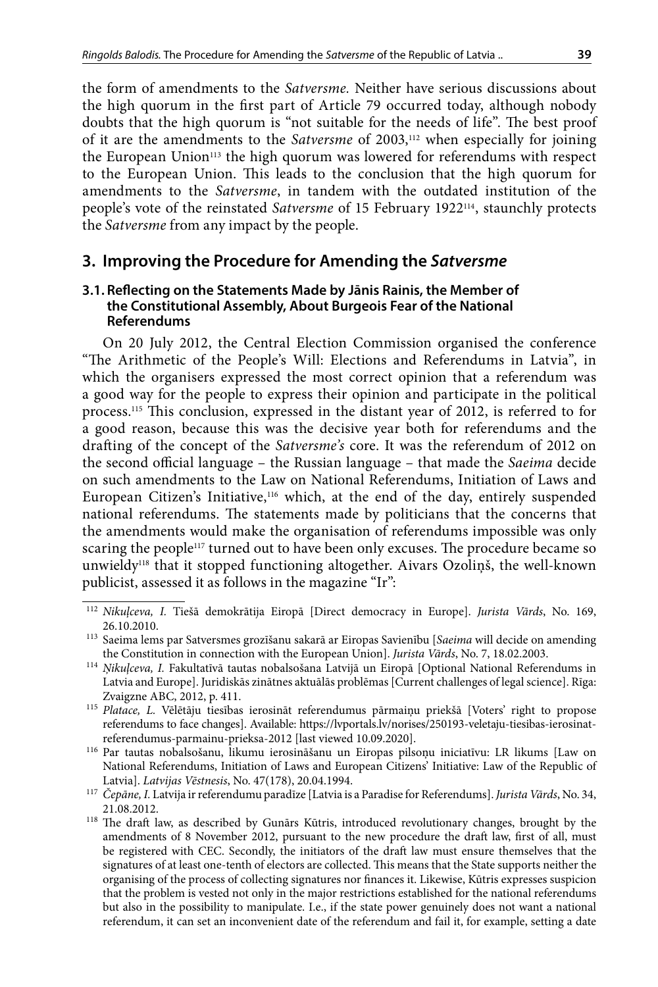the form of amendments to the *Satversme.* Neither have serious discussions about the high quorum in the first part of Article 79 occurred today, although nobody doubts that the high quorum is "not suitable for the needs of life". The best proof of it are the amendments to the *Satversme* of 2003,112 when especially for joining the European Union113 the high quorum was lowered for referendums with respect to the European Union. This leads to the conclusion that the high quorum for amendments to the *Satversme*, in tandem with the outdated institution of the people's vote of the reinstated *Satversme* of 15 February 1922114, staunchly protects the *Satversme* from any impact by the people.

# **3. Improving the Procedure for Amending the** *Satversme*

### **3.1. Reflecting on the Statements Made by Jānis Rainis, the Member of the Constitutional Assembly, About Burgeois Fear of the National Referendums**

On 20 July 2012, the Central Election Commission organised the conference "The Arithmetic of the People's Will: Elections and Referendums in Latvia", in which the organisers expressed the most correct opinion that a referendum was a good way for the people to express their opinion and participate in the political process.115 This conclusion, expressed in the distant year of 2012, is referred to for a good reason, because this was the decisive year both for referendums and the drafting of the concept of the *Satversme's* core. It was the referendum of 2012 on the second official language – the Russian language – that made the *Saeima* decide on such amendments to the Law on National Referendums, Initiation of Laws and European Citizen's Initiative,<sup>116</sup> which, at the end of the day, entirely suspended national referendums. The statements made by politicians that the concerns that the amendments would make the organisation of referendums impossible was only scaring the people<sup>117</sup> turned out to have been only excuses. The procedure became so unwieldy118 that it stopped functioning altogether. Aivars Ozoliņš, the well-known publicist, assessed it as follows in the magazine "Ir":

<sup>112</sup> *Nikuļceva, I.* Tiešā demokrātija Eiropā [Direct democracy in Europe]. *Jurista Vārds*, No. 169, 26.10.2010. 113 Saeima lems par Satversmes grozīšanu sakarā ar Eiropas Savienību [*Saeima* will decide on amending

the Constitution in connection with the European Union]. *Jurista Vārds*, No. 7, 18.02.2003.

<sup>114</sup> *Ņikuļceva, I.* Fakultatīvā tautas nobalsošana Latvijā un Eiropā [Optional National Referendums in Latvia and Europe]. Juridiskās zinātnes aktuālās problēmas [Current challenges of legal science]. Rīga: Zvaigzne ABC, 2012, p. 411.

<sup>115</sup> *Platace, L.* Vēlētāju tiesības ierosināt referendumus pārmaiņu priekšā [Voters' right to propose referendums to face changes]. Available: https://lvportals.lv/norises/250193-veletaju-tiesibas-ierosinatreferendumus-parmainu-prieksa-2012 [last viewed 10.09.2020].

<sup>116</sup> Par tautas nobalsošanu, likumu ierosināšanu un Eiropas pilsoņu iniciatīvu: LR likums [Law on National Referendums, Initiation of Laws and European Citizens' Initiative: Law of the Republic of Latvial. Latvijas Vēstnesis, No. 47(178), 20.04.1994.

<sup>&</sup>lt;sup>117</sup> Čepāne, I. Latvija ir referendumu paradīze [Latvia is a Paradise for Referendums]. *Jurista Vārds*, No. 34, 21.08.2012. 118 The draft law, as described by Gunārs Kūtris, introduced revolutionary changes, brought by the

amendments of 8 November 2012, pursuant to the new procedure the draft law, first of all, must be registered with CEC. Secondly, the initiators of the draft law must ensure themselves that the signatures of at least one-tenth of electors are collected. This means that the State supports neither the organising of the process of collecting signatures nor finances it. Likewise, Kūtris expresses suspicion that the problem is vested not only in the major restrictions established for the national referendums but also in the possibility to manipulate. I.e., if the state power genuinely does not want a national referendum, it can set an inconvenient date of the referendum and fail it, for example, setting a date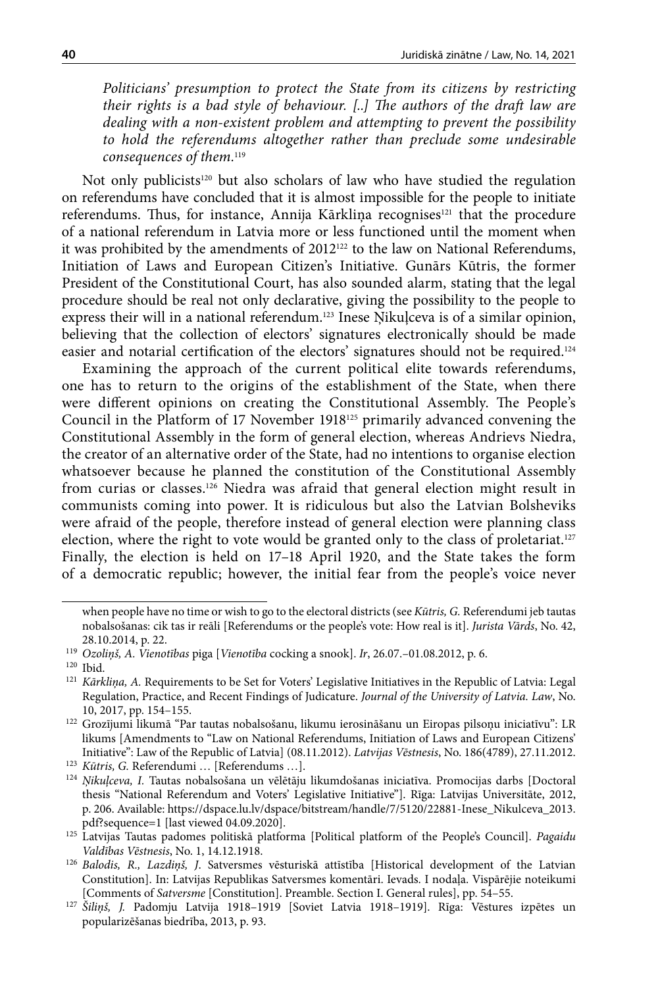*Politicians' presumption to protect the State from its citizens by restricting their rights is a bad style of behaviour. [..] The authors of the draft law are dealing with a non-existent problem and attempting to prevent the possibility*  to hold the referendums altogether rather than preclude some undesirable *consequences of them.*<sup>119</sup>

Not only publicists<sup>120</sup> but also scholars of law who have studied the regulation on referendums have concluded that it is almost impossible for the people to initiate referendums. Thus, for instance, Annija Kārkliņa recognises<sup>121</sup> that the procedure of a national referendum in Latvia more or less functioned until the moment when it was prohibited by the amendments of  $2012^{122}$  to the law on National Referendums, Initiation of Laws and European Citizen's Initiative. Gunārs Kūtris, the former President of the Constitutional Court, has also sounded alarm, stating that the legal procedure should be real not only declarative, giving the possibility to the people to express their will in a national referendum.123 Inese Ņikuļceva is of a similar opinion, believing that the collection of electors' signatures electronically should be made easier and notarial certification of the electors' signatures should not be required.124

Examining the approach of the current political elite towards referendums, one has to return to the origins of the establishment of the State, when there were different opinions on creating the Constitutional Assembly. The People's Council in the Platform of 17 November 1918125 primarily advanced convening the Constitutional Assembly in the form of general election, whereas Andrievs Niedra, the creator of an alternative order of the State, had no intentions to organise election whatsoever because he planned the constitution of the Constitutional Assembly from curias or classes.126 Niedra was afraid that general election might result in communists coming into power. It is ridiculous but also the Latvian Bolsheviks were afraid of the people, therefore instead of general election were planning class election, where the right to vote would be granted only to the class of proletariat.<sup>127</sup> Finally, the election is held on 17–18 April 1920, and the State takes the form of a democratic republic; however, the initial fear from the people's voice never

when people have no time or wish to go to the electoral districts (see *Kūtris, G.* Referendumi jeb tautas nobalsošanas: cik tas ir reāli [Referendums or the people's vote: How real is it]. *Jurista Vārds*, No. 42, 28.10.2014, p. 22.

<sup>119</sup> *Ozoliņš, A. Vienotības* piga [*Vienotība* cocking a snook]. *Ir*, 26.07.–01.08.2012, p. 6.

<sup>120</sup> Ibid.

<sup>&</sup>lt;sup>121</sup> *Kārkliņa, A. Requirements to be Set for Voters' Legislative Initiatives in the Republic of Latvia: Legal* Regulation, Practice, and Recent Findings of Judicature. *Journal of the University of Latvia. Law*, No. 10, 2017, pp. 154–155.

<sup>122</sup> Grozījumi likumā "Par tautas nobalsošanu, likumu ierosināšanu un Eiropas pilsoņu iniciatīvu": LR likums [Amendments to "Law on National Referendums, Initiation of Laws and European Citizens' Initiative": Law of the Republic of Latvia] (08.11.2012). *Latvijas Vēstnesis*, No. 186(4789), 27.11.2012.<br><sup>123</sup> Kūtris, G. Referendumi ... [Referendums ...].<br><sup>124</sup> Nikulceva, I. Tautas nobalsošana un vēlētāju likumdošanas

thesis "National Referendum and Voters' Legislative Initiative"]. Rīga: Latvijas Universitāte, 2012, p. 206. Available: [https://dspace.lu.lv/dspace/bitstream/handle/7/5120/22881-Inese\\_Nikulceva\\_2013.](https://dspace.lu.lv/dspace/bitstream/handle/7/5120/22881-Inese_Nikulceva_2013.pdf?sequence=) [pdf?sequence=](https://dspace.lu.lv/dspace/bitstream/handle/7/5120/22881-Inese_Nikulceva_2013.pdf?sequence=)1 [last viewed 04.09.2020].

<sup>125</sup> Latvijas Tautas padomes politiskā platforma [Political platform of the People's Council]. *Pagaidu* 

*Valdības Vēstnesis*, No. 1, 14.12.1918. 126 *Balodis, R., Lazdiņš, J*. Satversmes vēsturiskā attīstība [Historical development of the Latvian Constitution]. In: Latvijas Republikas Satversmes komentāri. Ievads. I nodaļa. Vispārējie noteikumi [Comments of *Satversme* [Constitution]. Preamble. Section I. General rules], pp. 54–55.

<sup>127</sup> *Šiliņš, J.* Padomju Latvija 1918–1919 [Soviet Latvia 1918–1919]. Rīga: Vēstures izpētes un popularizēšanas biedrība, 2013, p. 93.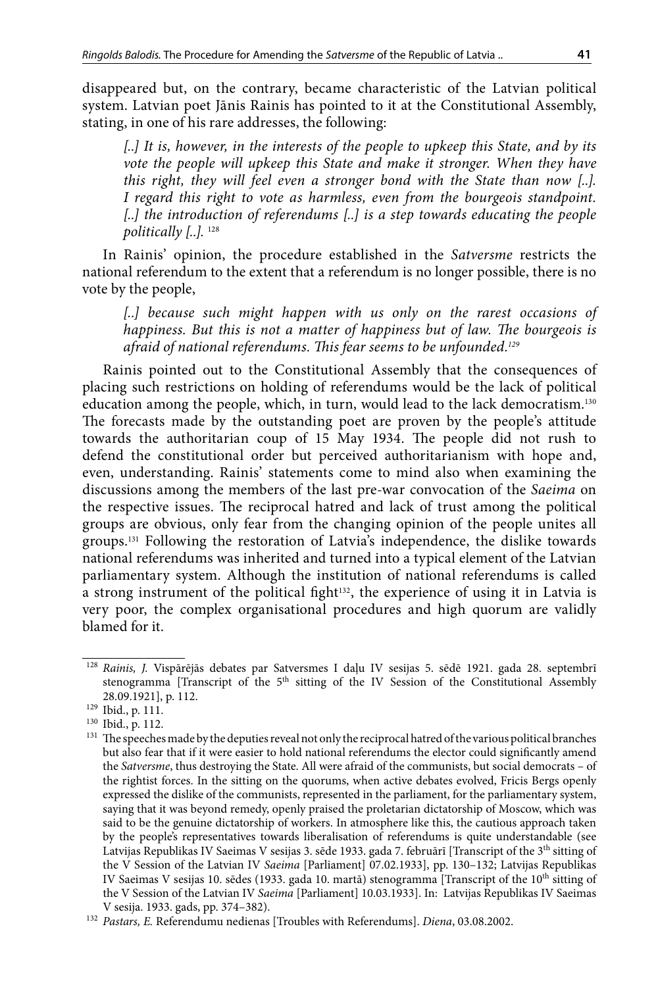disappeared but, on the contrary, became characteristic of the Latvian political system. Latvian poet Jānis Rainis has pointed to it at the Constitutional Assembly, stating, in one of his rare addresses, the following:

*[..] It is, however, in the interests of the people to upkeep this State, and by its*  vote the people will upkeep this State and make it stronger. When they have *this right, they will feel even a stronger bond with the State than now [..]. I regard this right to vote as harmless, even from the bourgeois standpoint. [..] the introduction of referendums [..] is a step towards educating the people politically [..].* <sup>128</sup>

In Rainis' opinion, the procedure established in the *Satversme* restricts the national referendum to the extent that a referendum is no longer possible, there is no vote by the people,

*[..] because such might happen with us only on the rarest occasions of happiness. But this is not a matter of happiness but of law. The bourgeois is afraid of national referendums. This fear seems to be unfounded.129*

Rainis pointed out to the Constitutional Assembly that the consequences of placing such restrictions on holding of referendums would be the lack of political education among the people, which, in turn, would lead to the lack democratism.130 The forecasts made by the outstanding poet are proven by the people's attitude towards the authoritarian coup of 15 May 1934. The people did not rush to defend the constitutional order but perceived authoritarianism with hope and, even, understanding. Rainis' statements come to mind also when examining the discussions among the members of the last pre-war convocation of the *Saeima* on the respective issues. The reciprocal hatred and lack of trust among the political groups are obvious, only fear from the changing opinion of the people unites all groups.131 Following the restoration of Latvia's independence, the dislike towards national referendums was inherited and turned into a typical element of the Latvian parliamentary system. Although the institution of national referendums is called a strong instrument of the political fight<sup>132</sup>, the experience of using it in Latvia is very poor, the complex organisational procedures and high quorum are validly blamed for it.

<sup>128</sup> *Rainis, J.* Vispārējās debates par Satversmes I daļu IV sesijas 5. sēdē 1921. gada 28. septembrī stenogramma [Transcript of the 5<sup>th</sup> sitting of the IV Session of the Constitutional Assembly 28.09.1921], p. 112.

<sup>129</sup> Ibid., p. 111.

<sup>130</sup> Ibid., p. 112.

 $^{131}\,$  The speeches made by the deputies reveal not only the reciprocal hatred of the various political branches but also fear that if it were easier to hold national referendums the elector could significantly amend the *Satversme*, thus destroying the State. All were afraid of the communists, but social democrats – of the rightist forces. In the sitting on the quorums, when active debates evolved, Fricis Bergs openly expressed the dislike of the communists, represented in the parliament, for the parliamentary system, saying that it was beyond remedy, openly praised the proletarian dictatorship of Moscow, which was said to be the genuine dictatorship of workers. In atmosphere like this, the cautious approach taken by the people's representatives towards liberalisation of referendums is quite understandable (see Latvijas Republikas IV Saeimas V sesijas 3. sēde 1933. gada 7. februārī [Transcript of the 3<sup>th</sup> sitting of the V Session of the Latvian IV *Saeima* [Parliament] 07.02.1933], pp. 130–132; Latvijas Republikas IV Saeimas V sesijas 10. sēdes (1933. gada 10. martā) stenogramma [Transcript of the 10<sup>th</sup> sitting of the V Session of the Latvian IV *Saeima* [Parliament] 10.03.1933]. In: Latvijas Republikas IV Saeimas V sesija. 1933. gads, pp. 374–382).

<sup>132</sup> *Pastars, E.* Referendumu nedienas [Troubles with Referendums]. *Diena*, 03.08.2002.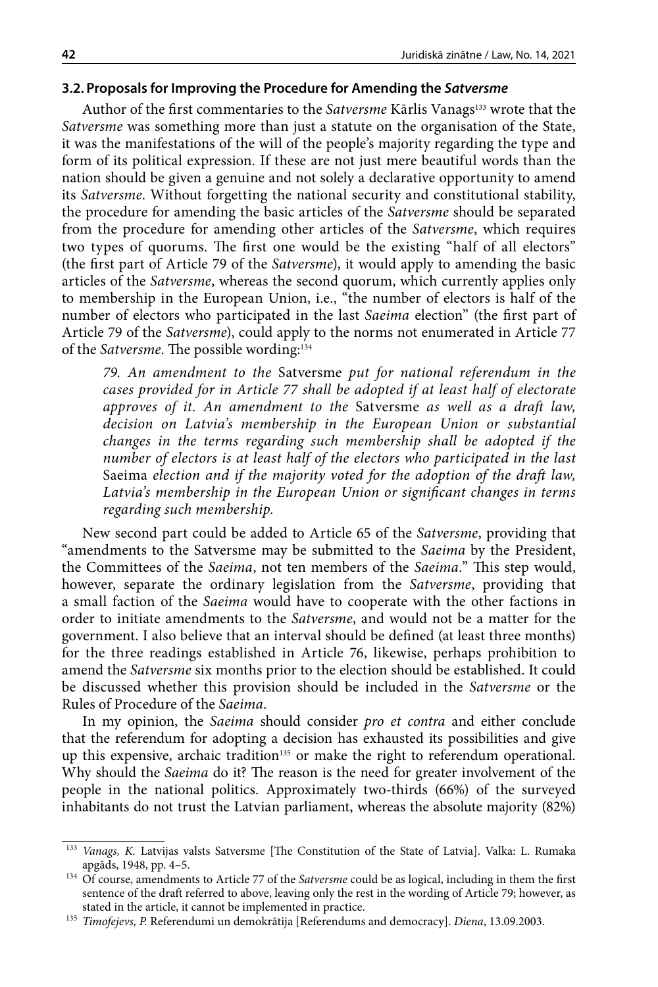#### **3.2. Proposals for Improving the Procedure for Amending the** *Satversme*

Author of the first commentaries to the *Satversme* Kārlis Vanags<sup>133</sup> wrote that the *Satversme* was something more than just a statute on the organisation of the State, it was the manifestations of the will of the people's majority regarding the type and form of its political expression. If these are not just mere beautiful words than the nation should be given a genuine and not solely a declarative opportunity to amend its *Satversme*. Without forgetting the national security and constitutional stability, the procedure for amending the basic articles of the *Satversme* should be separated from the procedure for amending other articles of the *Satversme*, which requires two types of quorums. The first one would be the existing "half of all electors" (the first part of Article 79 of the *Satversme*), it would apply to amending the basic articles of the *Satversme*, whereas the second quorum, which currently applies only to membership in the European Union, i.e., "the number of electors is half of the number of electors who participated in the last *Saeima* election" (the first part of Article 79 of the *Satversme*), could apply to the norms not enumerated in Article 77 of the *Satversme*. The possible wording:134

*79. An amendment to the* Satversme *put for national referendum in the cases provided for in Article 77 shall be adopted if at least half of electorate approves of it. An amendment to the* Satversme *as well as a draft law, decision on Latvia's membership in the European Union or substantial changes in the terms regarding such membership shall be adopted if the number of electors is at least half of the electors who participated in the last*  Saeima *election and if the majority voted for the adoption of the draft law, Latvia's membership in the European Union or significant changes in terms regarding such membership.*

New second part could be added to Article 65 of the *Satversme*, providing that "amendments to the Satversme may be submitted to the *Saeima* by the President, the Committees of the *Saeima*, not ten members of the *Saeima.*" This step would, however, separate the ordinary legislation from the *Satversme*, providing that a small faction of the *Saeima* would have to cooperate with the other factions in order to initiate amendments to the *Satversme*, and would not be a matter for the government. I also believe that an interval should be defined (at least three months) for the three readings established in Article 76, likewise, perhaps prohibition to amend the *Satversme* six months prior to the election should be established. It could be discussed whether this provision should be included in the *Satversme* or the Rules of Procedure of the *Saeima*.

In my opinion, the *Saeima* should consider *pro et contra* and either conclude that the referendum for adopting a decision has exhausted its possibilities and give up this expensive, archaic tradition<sup>135</sup> or make the right to referendum operational. Why should the *Saeima* do it? The reason is the need for greater involvement of the people in the national politics. Approximately two-thirds (66%) of the surveyed inhabitants do not trust the Latvian parliament, whereas the absolute majority (82%)

<sup>&</sup>lt;sup>133</sup> *Vanags, K. Latvijas valsts Satversme* [The Constitution of the State of Latvia]. Valka: L. Rumaka apgāds, 1948, pp. 4–5.

<sup>&</sup>lt;sup>134</sup> Of course, amendments to Article 77 of the *Satversme* could be as logical, including in them the first sentence of the draft referred to above, leaving only the rest in the wording of Article 79; however, as stated in the article, it cannot be implemented in practice.

<sup>135</sup> *Timofejevs, P.* Referendumi un demokrātija [Referendums and democracy]. *Diena*, 13.09.2003.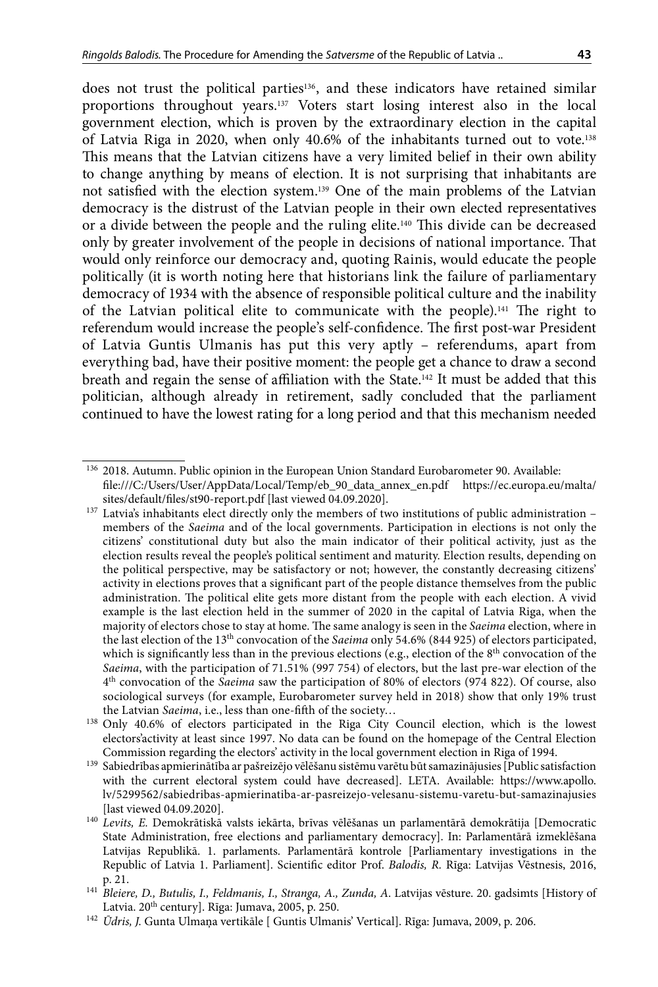does not trust the political parties136, and these indicators have retained similar proportions throughout years.137 Voters start losing interest also in the local government election, which is proven by the extraordinary election in the capital of Latvia Riga in 2020, when only 40.6% of the inhabitants turned out to vote.138 This means that the Latvian citizens have a very limited belief in their own ability to change anything by means of election. It is not surprising that inhabitants are not satisfied with the election system.139 One of the main problems of the Latvian democracy is the distrust of the Latvian people in their own elected representatives or a divide between the people and the ruling elite.140 This divide can be decreased only by greater involvement of the people in decisions of national importance. That would only reinforce our democracy and, quoting Rainis, would educate the people politically (it is worth noting here that historians link the failure of parliamentary democracy of 1934 with the absence of responsible political culture and the inability of the Latvian political elite to communicate with the people).141 The right to referendum would increase the people's self-confidence. The first post-war President of Latvia Guntis Ulmanis has put this very aptly – referendums, apart from everything bad, have their positive moment: the people get a chance to draw a second breath and regain the sense of affiliation with the State.142 It must be added that this politician, although already in retirement, sadly concluded that the parliament continued to have the lowest rating for a long period and that this mechanism needed

<sup>136</sup> 2018. Autumn. Public opinion in the European Union Standard Eurobarometer 90. Available: file:///C:/Users/User/AppData/Local/Temp/eb\_90\_data\_annex\_en.pdf https://ec.europa.eu/malta/ sites/default/files/st90-report.pdf [last viewed 04.09.2020].

<sup>&</sup>lt;sup>137</sup> Latvia's inhabitants elect directly only the members of two institutions of public administration members of the *Saeima* and of the local governments. Participation in elections is not only the citizens' constitutional duty but also the main indicator of their political activity, just as the election results reveal the people's political sentiment and maturity. Election results, depending on the political perspective, may be satisfactory or not; however, the constantly decreasing citizens' activity in elections proves that a significant part of the people distance themselves from the public administration. The political elite gets more distant from the people with each election. A vivid example is the last election held in the summer of 2020 in the capital of Latvia Riga, when the majority of electors chose to stay at home. The same analogy is seen in the *Saeima* election, where in the last election of the 13th convocation of the *Saeima* only 54.6% (844 925) of electors participated, which is significantly less than in the previous elections (e.g., election of the  $8<sup>th</sup>$  convocation of the *Saeima*, with the participation of 71.51% (997 754) of electors, but the last pre-war election of the 4th convocation of the *Saeima* saw the participation of 80% of electors (974 822). Of course, also sociological surveys (for example, Eurobarometer survey held in 2018) show that only 19% trust the Latvian *Saeima*, i.e., less than one-fifth of the society…

<sup>138</sup> Only 40.6% of electors participated in the Riga City Council election, which is the lowest electors'activity at least since 1997. No data can be found on the homepage of the Central Election

Commission regarding the electors' activity in the local government election in Riga of 1994.<br><sup>139</sup> Sabiedrības apmierinātība ar pašreizējo vēlēšanu sistēmu varētu būt samazinājusies [Public satisfaction with the current electoral system could have decreased]. LETA. Available: [https://www.apollo.](https://www.apollo.lv/5299562/sabiedribas-apmierinatiba-ar-pasreizejo-velesanu-sistemu-varetu-but-samazinajusies) [lv/5299562/sabiedribas-apmierinatiba-ar-pasreizejo-velesanu-sistemu-varetu-but-samazinajusies](https://www.apollo.lv/5299562/sabiedribas-apmierinatiba-ar-pasreizejo-velesanu-sistemu-varetu-but-samazinajusies) [last viewed 04.09.2020].

<sup>140</sup> *Levits, E.* Demokrātiskā valsts iekārta, brīvas vēlēšanas un parlamentārā demokrātija [Democratic State Administration, free elections and parliamentary democracy]. In: Parlamentārā izmeklēšana Latvijas Republikā. 1. parlaments. Parlamentārā kontrole [Parliamentary investigations in the Republic of Latvia 1. Parliament]. Scientific editor Prof. *Balodis, R.* Rīga: Latvijas Vēstnesis, 2016, p. 21.

<sup>141</sup> *Bleiere, D., Butulis, I., Feldmanis, I., Stranga, A., Zunda, A*. Latvijas vēsture. 20. gadsimts [History of Latvia. 20<sup>th</sup> century]. Rīga: Jumava, 2005, p. 250.

<sup>&</sup>lt;sup>142</sup> Ūdris, J. Gunta Ulmaņa vertikāle [ Guntis Ulmanis' Vertical]. Rīga: Jumava, 2009, p. 206.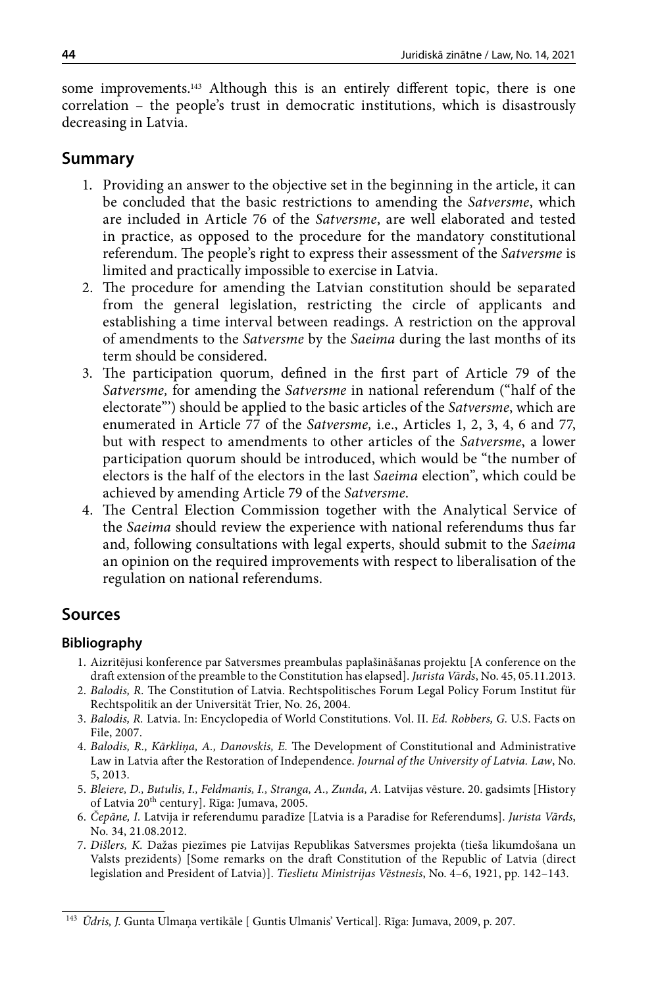some improvements.<sup>143</sup> Although this is an entirely different topic, there is one correlation – the people's trust in democratic institutions, which is disastrously decreasing in Latvia.

# **Summary**

- 1. Providing an answer to the objective set in the beginning in the article, it can be concluded that the basic restrictions to amending the *Satversme*, which are included in Article 76 of the *Satversme*, are well elaborated and tested in practice, as opposed to the procedure for the mandatory constitutional referendum. The people's right to express their assessment of the *Satversme* is limited and practically impossible to exercise in Latvia.
- 2. The procedure for amending the Latvian constitution should be separated from the general legislation, restricting the circle of applicants and establishing a time interval between readings. A restriction on the approval of amendments to the *Satversme* by the *Saeima* during the last months of its term should be considered.
- 3. The participation quorum, defined in the first part of Article 79 of the *Satversme,* for amending the *Satversme* in national referendum ("half of the electorate"') should be applied to the basic articles of the *Satversme*, which are enumerated in Article 77 of the *Satversme,* i.e., Articles 1, 2, 3, 4, 6 and 77, but with respect to amendments to other articles of the *Satversme*, a lower participation quorum should be introduced, which would be "the number of electors is the half of the electors in the last *Saeima* election", which could be achieved by amending Article 79 of the *Satversme*.
- 4. The Central Election Commission together with the Analytical Service of the *Saeima* should review the experience with national referendums thus far and, following consultations with legal experts, should submit to the *Saeima* an opinion on the required improvements with respect to liberalisation of the regulation on national referendums.

# **Sources**

## **Bibliography**

- 1. Aizritējusi konference par Satversmes preambulas paplašināšanas projektu [A conference on the draft extension of the preamble to the Constitution has elapsed]. *Jurista Vārds*, No. 45, 05.11.2013.
- 2. *Balodis, R.* The Constitution of Latvia. Rechtspolitisches Forum Legal Policy Forum Institut für Rechtspolitik an der Universität Trier, No. 26, 2004.
- 3. *Balodis, R.* Latvia. In: Encyclopedia of World Constitutions. Vol. II. *Ed. Robbers, G.* U.S. Facts on File, 2007.
- 4. *Balodis, R., Kārkliņa, A., Danovskis, E.* The Development of Constitutional and Administrative Law in Latvia after the Restoration of Independence. *Journal of the University of Latvia. Law*, No. 5, 2013.
- 5. *Bleiere, D., Butulis, I., Feldmanis, I., Stranga, A., Zunda, A.* Latvijas vēsture. 20. gadsimts [History of Latvia 20<sup>th</sup> century]. Rīga: Jumava, 2005.
- 6. *Čepāne, I.* Latvija ir referendumu paradīze [Latvia is a Paradise for Referendums]. *Jurista Vārds*, No. 34, 21.08.2012.
- 7. *Dišlers, K.* Dažas piezīmes pie Latvijas Republikas Satversmes projekta (tieša likumdošana un Valsts prezidents) [Some remarks on the draft Constitution of the Republic of Latvia (direct legislation and President of Latvia)]. *Tieslietu Ministrijas Vēstnesis*, No. 4–6, 1921, pp. 142–143.

<sup>&</sup>lt;sup>143</sup> *Ūdris, J.* Gunta Ulmaņa vertikāle [ Guntis Ulmanis' Vertical]. Rīga: Jumava, 2009, p. 207.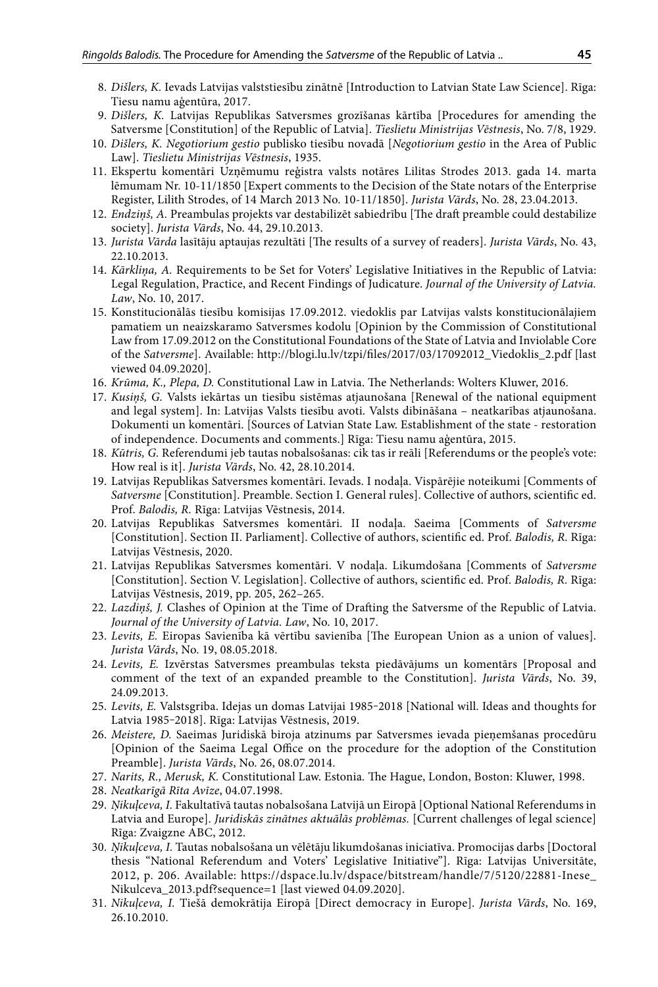- 8. *Dišlers, K.* Ievads Latvijas valststiesību zinātnē [Introduction to Latvian State Law Science]. Rīga: Tiesu namu aģentūra, 2017.
- 9. *Dišlers, K.* Latvijas Republikas Satversmes grozīšanas kārtība [Procedures for amending the Satversme [Constitution] of the Republic of Latvia]. *Tieslietu Ministrijas Vēstnesis*, No. 7/8, 1929.
- 10. *Dišlers, K. Negotiorium gestio* publisko tiesību novadā [*Negotiorium gestio* in the Area of Public Law]. *Tieslietu Ministrijas Vēstnesis*, 1935.
- 11. Ekspertu komentāri Uzņēmumu reģistra valsts notāres Lilitas Strodes 2013. gada 14. marta lēmumam Nr. 10-11/1850 [Expert comments to the Decision of the State notars of the Enterprise Register, Lilith Strodes, of 14 March 2013 No. 10-11/1850]. *Jurista Vārds*, No. 28, 23.04.2013.
- 12. *Endziņš, A.* Preambulas projekts var destabilizēt sabiedrību [The draft preamble could destabilize society]. *Jurista Vārds*, No. 44, 29.10.2013.
- 13. *Jurista Vārda* lasītāju aptaujas rezultāti [The results of a survey of readers]. *Jurista Vārds*, No. 43, 22.10.2013.
- 14. *Kārkliņa, A.* Requirements to be Set for Voters' Legislative Initiatives in the Republic of Latvia: Legal Regulation, Practice, and Recent Findings of Judicature. *Journal of the University of Latvia. Law*, No. 10, 2017.
- 15. Konstitucionālās tiesību komisijas 17.09.2012. viedoklis par Latvijas valsts konstitucionālajiem pamatiem un neaizskaramo Satversmes kodolu [Opinion by the Commission of Constitutional Law from 17.09.2012 on the Constitutional Foundations of the State of Latvia and Inviolable Core of the *Satversme*]. Available: [http://blogi.lu.lv/tzpi/files/2017/03/17092012\\_Viedoklis\\_2.pdf](http://blogi.lu.lv/tzpi/files/2017/03/17092012_Viedoklis_2.pdf) [last viewed 04.09.2020].
- 16. *Krūma, K., Plepa, D.* Constitutional Law in Latvia. The Netherlands: Wolters Kluwer, 2016.
- 17. *Kusiņš, G.* Valsts iekārtas un tiesību sistēmas atjaunošana [Renewal of the national equipment and legal system]. In: Latvijas Valsts tiesību avoti. Valsts dibināšana – neatkarības atjaunošana. Dokumenti un komentāri. [Sources of Latvian State Law. Establishment of the state - restoration of independence. Documents and comments.] Rīga: Tiesu namu aģentūra, 2015.
- 18. *Kūtris, G.* Referendumi jeb tautas nobalsošanas: cik tas ir reāli [Referendums or the people's vote: How real is it]. *Jurista Vārds*, No. 42, 28.10.2014.
- 19. Latvijas Republikas Satversmes komentāri. Ievads. I nodaļa. Vispārējie noteikumi [Comments of *Satversme* [Constitution]. Preamble. Section I. General rules]. Collective of authors, scientific ed. Prof. *Balodis, R.* Rīga: Latvijas Vēstnesis, 2014.
- 20. Latvijas Republikas Satversmes komentāri. II nodaļa. Saeima [Comments of *Satversme* [Constitution]. Section II. Parliament]. Collective of authors, scientific ed. Prof. *Balodis, R*. Rīga: Latvijas Vēstnesis, 2020.
- 21. Latvijas Republikas Satversmes komentāri. V nodaļa. Likumdošana [Comments of *Satversme* [Constitution]. Section V. Legislation]. Collective of authors, scientific ed. Prof. *Balodis, R.* Rīga: Latvijas Vēstnesis, 2019, pp. 205, 262–265.
- 22. *Lazdiņš, J.* Clashes of Opinion at the Time of Drafting the Satversme of the Republic of Latvia. *Journal of the University of Latvia. Law*, No. 10, 2017.
- 23. *Levits, E.* Eiropas Savienība kā vērtību savienība [The European Union as a union of values]. *Jurista Vārds*, No. 19, 08.05.2018.
- 24. *Levits, E.* Izvērstas Satversmes preambulas teksta piedāvājums un komentārs [Proposal and comment of the text of an expanded preamble to the Constitution]. *Jurista Vārds*, No. 39, 24.09.2013.
- 25. Levits, E. Valstsgriba. Idejas un domas Latvijai 1985-2018 [National will. Ideas and thoughts for Latvia 1985-2018]. Rīga: Latvijas Vēstnesis, 2019.
- 26. *Meistere, D.* Saeimas Juridiskā biroja atzinums par Satversmes ievada pieņemšanas procedūru [Opinion of the Saeima Legal Office on the procedure for the adoption of the Constitution Preamble]. *Jurista Vārds*, No. 26, 08.07.2014.
- 27. *Narits, R., Merusk, K.* Constitutional Law. Estonia*.* The Hague, London, Boston: Kluwer, 1998.
- 28. *Neatkarīgā Rīta Avīze*, 04.07.1998.
- 29. *Ņikuļceva, I.* Fakultatīvā tautas nobalsošana Latvijā un Eiropā [Optional National Referendums in Latvia and Europe]. *Juridiskās zinātnes aktuālās problēmas.* [Current challenges of legal science] Rīga: Zvaigzne ABC, 2012.
- 30. *Ņikuļceva, I.* Tautas nobalsošana un vēlētāju likumdošanas iniciatīva. Promocijas darbs [Doctoral thesis "National Referendum and Voters' Legislative Initiative"]. Rīga: Latvijas Universitāte, 2012, p. 206. Available: [https://dspace.lu.lv/dspace/bitstream/handle/7/5120/22881-Inese\\_](https://dspace.lu.lv/dspace/bitstream/handle/7/5120/22881-Inese_Nikulceva_2013.pdf?sequence=) [Nikulceva\\_2013.pdf?sequence=1](https://dspace.lu.lv/dspace/bitstream/handle/7/5120/22881-Inese_Nikulceva_2013.pdf?sequence=) [last viewed 04.09.2020].
- 31. *Nikuļceva, I.* Tiešā demokrātija Eiropā [Direct democracy in Europe]. *Jurista Vārds*, No. 169, 26.10.2010.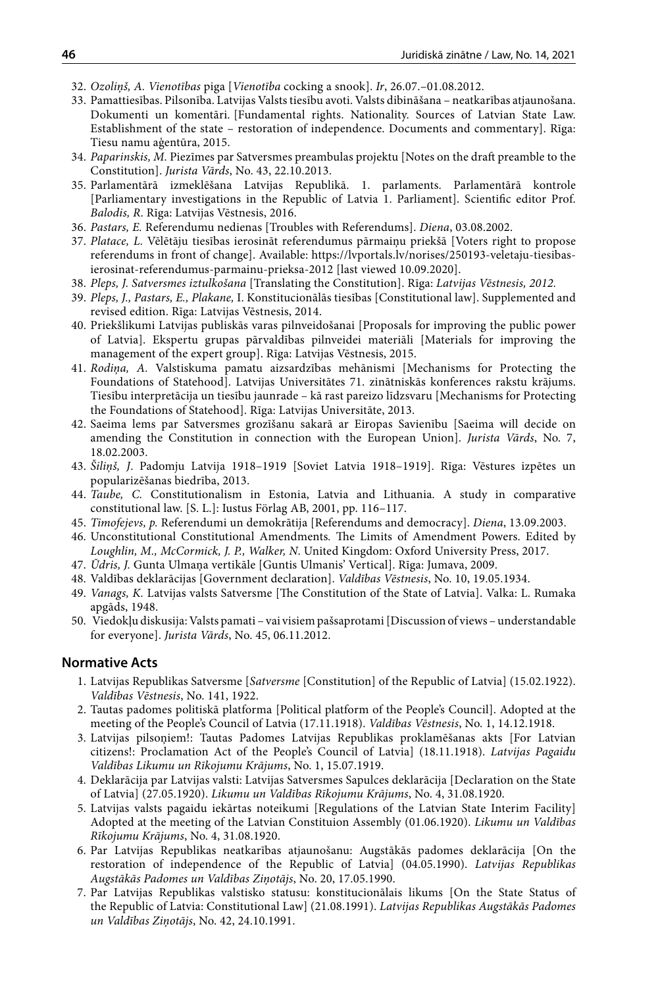- 32. *Ozoliņš, A. Vienotības* piga [*Vienotība* cocking a snook]. *Ir*, 26.07.–01.08.2012.
- 33. Pamattiesības. Pilsonība. Latvijas Valsts tiesību avoti. Valsts dibināšana neatkarības atjaunošana. Dokumenti un komentāri. [Fundamental rights. Nationality. Sources of Latvian State Law. Establishment of the state – restoration of independence. Documents and commentary]. Rīga: Tiesu namu aģentūra, 2015.
- 34. *Paparinskis, M.* Piezīmes par Satversmes preambulas projektu [Notes on the draft preamble to the Constitution]. *Jurista Vārds*, No. 43, 22.10.2013.
- 35. Parlamentārā izmeklēšana Latvijas Republikā. 1. parlaments. Parlamentārā kontrole [Parliamentary investigations in the Republic of Latvia 1. Parliament]. Scientific editor Prof. *Balodis, R*. Rīga: Latvijas Vēstnesis, 2016.
- 36. *Pastars, E.* Referendumu nedienas [Troubles with Referendums]. *Diena*, 03.08.2002.
- 37. *Platace, L.* Vēlētāju tiesības ierosināt referendumus pārmaiņu priekšā [Voters right to propose referendums in front of change]. Available: https://lvportals.lv/norises/250193-veletaju-tiesibasierosinat-referendumus-parmainu-prieksa-2012 [last viewed 10.09.2020].
- 38. *Pleps, J. Satversmes iztulkošana* [Translating the Constitution]. Rīga: *Latvijas Vēstnesis, 2012.*
- 39. *Pleps, J., Pastars, E., Plakane,* I. Konstitucionālās tiesības [Constitutional law]. Supplemented and revised edition. Rīga: Latvijas Vēstnesis, 2014.
- 40. Priekšlikumi Latvijas publiskās varas pilnveidošanai [Proposals for improving the public power of Latvia]. Ekspertu grupas pārvaldības pilnveidei materiāli [Materials for improving the management of the expert group]. Rīga: Latvijas Vēstnesis, 2015.
- 41. *Rodiņa, A.* Valstiskuma pamatu aizsardzības mehānismi [Mechanisms for Protecting the Foundations of Statehood]. Latvijas Universitātes 71. zinātniskās konferences rakstu krājums. Tiesību interpretācija un tiesību jaunrade – kā rast pareizo līdzsvaru [Mechanisms for Protecting the Foundations of Statehood]. Rīga: Latvijas Universitāte, 2013.
- 42. Saeima lems par Satversmes grozīšanu sakarā ar Eiropas Savienību [Saeima will decide on amending the Constitution in connection with the European Union]. *Jurista Vārds*, No. 7, 18.02.2003.
- 43. *Šiliņš, J*. Padomju Latvija 1918–1919 [Soviet Latvia 1918–1919]. Rīga: Vēstures izpētes un popularizēšanas biedrība, 2013.
- 44. *Taube, C.* Constitutionalism in Estonia, Latvia and Lithuania*.* A study in comparative constitutional law. [S. L.]: Iustus Förlag AB, 2001, pp. 116–117.
- 45. *Timofejevs, p.* Referendumi un demokrātija [Referendums and democracy]. *Diena*, 13.09.2003.
- 46. Unconstitutional Constitutional Amendments*.* The Limits of Amendment Powers. Edited by *Loughlin, M., McCormick, J. P., Walker, N*. United Kingdom: Oxford University Press, 2017.
- 47. *Ūdris, J.* Gunta Ulmaņa vertikāle [Guntis Ulmanis' Vertical]. Rīga: Jumava, 2009.
- 48. Valdības deklarācijas [Government declaration]. *Valdības Vēstnesis*, No. 10, 19.05.1934.
- 49. *Vanags, K.* Latvijas valsts Satversme [The Constitution of the State of Latvia]. Valka: L. Rumaka apgāds, 1948.
- 50. Viedokļu diskusija: Valsts pamati vai visiem pašsaprotami [Discussion of views understandable for everyone]. *Jurista Vārds*, No. 45, 06.11.2012.

#### **Normative Acts**

- 1. Latvijas Republikas Satversme [*Satversme* [Constitution] of the Republic of Latvia] (15.02.1922). *Valdības Vēstnesis*, No. 141, 1922.
- 2. Tautas padomes politiskā platforma [Political platform of the People's Council]. Adopted at the meeting of the People's Council of Latvia (17.11.1918). *Valdības Vēstnesis*, No. 1, 14.12.1918.
- 3. Latvijas pilsoņiem!: Tautas Padomes Latvijas Republikas proklamēšanas akts [For Latvian citizens!: Proclamation Act of the People's Council of Latvia] (18.11.1918). *Latvijas Pagaidu Valdības Likumu un Rīkojumu Krājums*, No. 1, 15.07.1919.
- 4. Deklarācija par Latvijas valsti: Latvijas Satversmes Sapulces deklarācija [Declaration on the State of Latvia] (27.05.1920). *Likumu un Valdības Rīkojumu Krājums*, No. 4, 31.08.1920.
- 5. Latvijas valsts pagaidu iekārtas noteikumi [Regulations of the Latvian State Interim Facility] Adopted at the meeting of the Latvian Constituion Assembly (01.06.1920). *Likumu un Valdības Rīkojumu Krājums*, No. 4, 31.08.1920.
- 6. Par Latvijas Republikas neatkarības atjaunošanu: Augstākās padomes deklarācija [On the restoration of independence of the Republic of Latvia] (04.05.1990). *Latvijas Republikas Augstākās Padomes un Valdības Ziņotājs*, No. 20, 17.05.1990.
- 7. Par Latvijas Republikas valstisko statusu: konstitucionālais likums [On the State Status of the Republic of Latvia: Constitutional Law] (21.08.1991). *Latvijas Republikas Augstākās Padomes un Valdības Ziņotājs*, No. 42, 24.10.1991.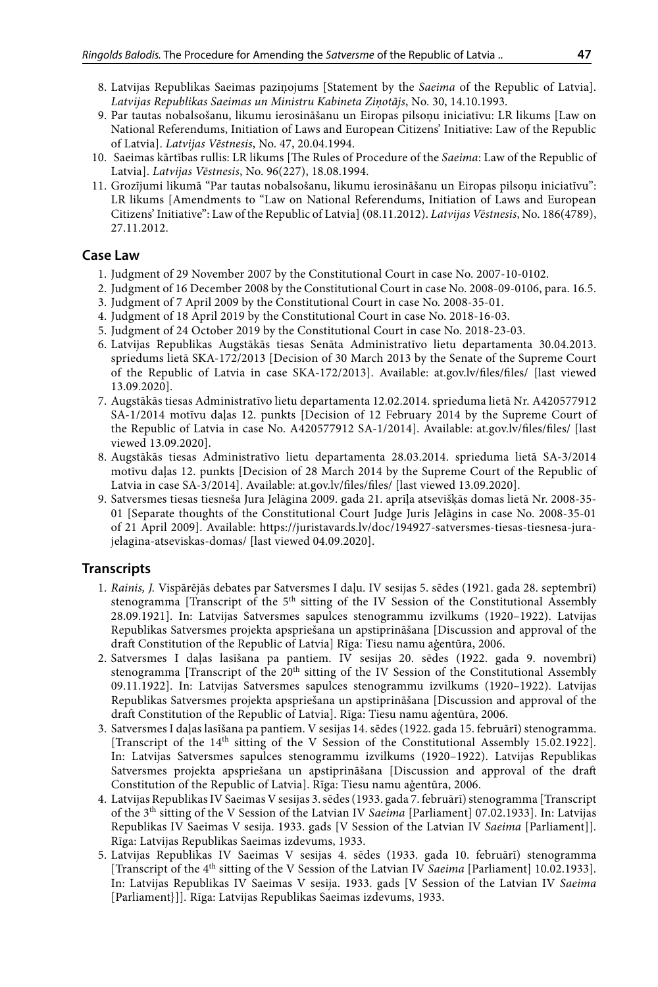- 8. Latvijas Republikas Saeimas paziņojums [Statement by the *Saeima* of the Republic of Latvia]. *Latvijas Republikas Saeimas un Ministru Kabineta Ziņotājs*, No. 30, 14.10.1993.
- 9. Par tautas nobalsošanu, likumu ierosināšanu un Eiropas pilsoņu iniciatīvu: LR likums [Law on National Referendums, Initiation of Laws and European Citizens' Initiative: Law of the Republic of Latvia]. *Latvijas Vēstnesis*, No. 47, 20.04.1994.
- 10. Saeimas kārtības rullis: LR likums [The Rules of Procedure of the *Saeima*: Law of the Republic of Latvia]. *Latvijas Vēstnesis*, No. 96(227), 18.08.1994.
- 11. Grozījumi likumā "Par tautas nobalsošanu, likumu ierosināšanu un Eiropas pilsoņu iniciatīvu": LR likums [Amendments to "Law on National Referendums, Initiation of Laws and European Citizens' Initiative": Law of the Republic of Latvia] (08.11.2012). *Latvijas Vēstnesis*, No. 186(4789), 27.11.2012.

#### **Case Law**

- 1. Judgment of 29 November 2007 by the Constitutional Court in case No. 2007-10-0102.
- 2. Judgment of 16 December 2008 by the Constitutional Court in case No. 2008-09-0106, para. 16.5.
- 3. Judgment of 7 April 2009 by the Constitutional Court in case No. 2008-35-01.
- 4. Judgment of 18 April 2019 by the Constitutional Court in case No. 2018-16-03.
- 5. Judgment of 24 October 2019 by the Constitutional Court in case No. 2018-23-03.
- 6. Latvijas Republikas Augstākās tiesas Senāta Administratīvo lietu departamenta 30.04.2013. spriedums lietā SKA-172/2013 [Decision of 30 March 2013 by the Senate of the Supreme Court of the Republic of Latvia in case SKA-172/2013]. Available: at.gov.lv/files/files/ [last viewed 13.09.2020].
- 7. Augstākās tiesas Administratīvo lietu departamenta 12.02.2014. sprieduma lietā Nr. A420577912 SA-1/2014 motīvu daļas 12. punkts [Decision of 12 February 2014 by the Supreme Court of the Republic of Latvia in case No. A420577912 SA-1/2014]. Available: at.gov.lv/files/files/ [last viewed 13.09.2020].
- 8. Augstākās tiesas Administratīvo lietu departamenta 28.03.2014. sprieduma lietā SA-3/2014 motīvu daļas 12. punkts [Decision of 28 March 2014 by the Supreme Court of the Republic of Latvia in case SA-3/2014]. Available: at.gov.lv/files/files/ [last viewed 13.09.2020].
- 9. Satversmes tiesas tiesneša Jura Jelāgina 2009. gada 21. aprīļa atsevišķās domas lietā Nr. 2008-35- 01 [Separate thoughts of the Constitutional Court Judge Juris Jelāgins in case No. 2008-35-01 of 21 April 2009]. Available: https://juristavards.lv/doc/194927-satversmes-tiesas-tiesnesa-jurajelagina-atseviskas-domas/ [last viewed 04.09.2020].

#### **Transcripts**

- 1. *Rainis, J.* Vispārējās debates par Satversmes I daļu. IV sesijas 5. sēdes (1921. gada 28. septembrī) stenogramma [Transcript of the  $5<sup>th</sup>$  sitting of the IV Session of the Constitutional Assembly 28.09.1921]. In: Latvijas Satversmes sapulces stenogrammu izvilkums (1920–1922). Latvijas Republikas Satversmes projekta apspriešana un apstiprināšana [Discussion and approval of the draft Constitution of the Republic of Latvia] Rīga: Tiesu namu aģentūra, 2006.
- 2. Satversmes I daļas lasīšana pa pantiem. IV sesijas 20. sēdes (1922. gada 9. novembrī) stenogramma [Transcript of the 20<sup>th</sup> sitting of the IV Session of the Constitutional Assembly 09.11.1922]. In: Latvijas Satversmes sapulces stenogrammu izvilkums (1920–1922). Latvijas Republikas Satversmes projekta apspriešana un apstiprināšana [Discussion and approval of the draft Constitution of the Republic of Latvia]. Rīga: Tiesu namu aģentūra, 2006.
- 3. Satversmes I daļas lasīšana pa pantiem. V sesijas 14. sēdes (1922. gada 15. februārī) stenogramma. [Transcript of the 14th sitting of the V Session of the Constitutional Assembly 15.02.1922]. In: Latvijas Satversmes sapulces stenogrammu izvilkums (1920–1922). Latvijas Republikas Satversmes projekta apspriešana un apstiprināšana [Discussion and approval of the draft Constitution of the Republic of Latvia]. Rīga: Tiesu namu aģentūra, 2006.
- 4. Latvijas Republikas IV Saeimas V sesijas 3. sēdes (1933. gada 7. februārī) stenogramma [Transcript of the 3th sitting of the V Session of the Latvian IV *Saeima* [Parliament] 07.02.1933]. In: Latvijas Republikas IV Saeimas V sesija. 1933. gads [V Session of the Latvian IV *Saeima* [Parliament]]. Rīga: Latvijas Republikas Saeimas izdevums, 1933.
- 5. Latvijas Republikas IV Saeimas V sesijas 4. sēdes (1933. gada 10. februārī) stenogramma [Transcript of the 4<sup>th</sup> sitting of the V Session of the Latvian IV *Saeima* [Parliament] 10.02.1933]. In: Latvijas Republikas IV Saeimas V sesija. 1933. gads [V Session of the Latvian IV *Saeima*  [Parliament}]]*.* Rīga: Latvijas Republikas Saeimas izdevums, 1933.